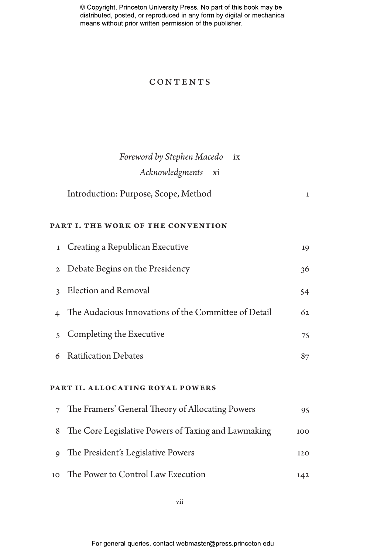## **CONTENTS**

|                                    | Foreword by Stephen Macedo<br>i x<br>Acknowledgments<br>xi |              |  |
|------------------------------------|------------------------------------------------------------|--------------|--|
|                                    | Introduction: Purpose, Scope, Method                       | $\mathbf{1}$ |  |
| PART I. THE WORK OF THE CONVENTION |                                                            |              |  |
| 1                                  | Creating a Republican Executive                            | 19           |  |
| $\mathbf{2}$                       | Debate Begins on the Presidency                            | 36           |  |
| 3                                  | Election and Removal                                       | 54           |  |
| $\overline{4}$                     | The Audacious Innovations of the Committee of Detail       | 62           |  |
| $\mathcal{S}$                      | Completing the Executive                                   | 75           |  |
| 6                                  | <b>Ratification Debates</b>                                | 87           |  |
| PART II. ALLOCATING ROYAL POWERS   |                                                            |              |  |
| $\overline{7}$                     | The Framers' General Theory of Allocating Powers           | 95           |  |
| 8                                  | The Core Legislative Powers of Taxing and Lawmaking        | 100          |  |
| 9                                  | The President's Legislative Powers                         | 120          |  |

10 The Power to Control Law Execution 142

vii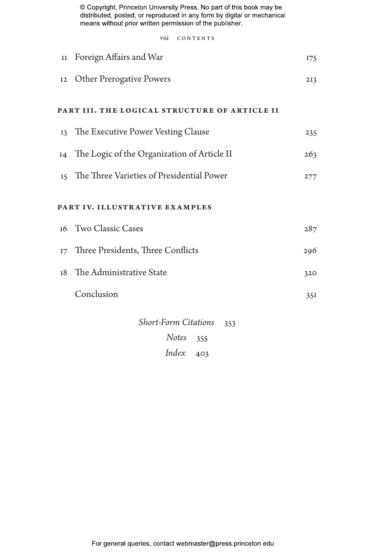viii CONTENTS

| $11\,$ | Foreign Affairs and War                                                   | 175 |
|--------|---------------------------------------------------------------------------|-----|
| 12     | <b>Other Prerogative Powers</b>                                           | 213 |
|        | PART III. THE LOGICAL STRUCTURE OF ARTICLE II                             |     |
|        | 13 The Executive Power Vesting Clause                                     | 235 |
|        | 14 The Logic of the Organization of Article II                            | 263 |
|        | 15 The Three Varieties of Presidential Power                              | 277 |
|        | PART IV. ILLUSTRATIVE EXAMPLES                                            |     |
|        | 16 Two Classic Cases                                                      | 287 |
| 17     | Three Presidents, Three Conflicts                                         | 296 |
| 18     | The Administrative State                                                  | 320 |
|        | Conclusion                                                                | 351 |
|        | <b>Short-Form Citations</b><br>353<br><b>Notes</b><br>355<br>Index<br>403 |     |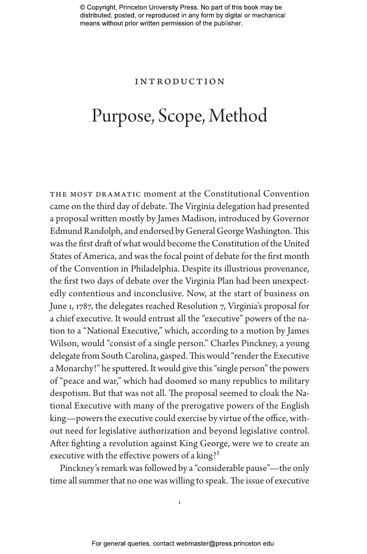## Introduction

# Purpose, Scope, Method

THE MOST DRAMATIC moment at the Constitutional Convention came on the third day of debate. The Virginia delegation had presented a proposal written mostly by James Madison, introduced by Governor Edmund Randolph, and endorsed by General George Washington. This was the first draft of what would become the Constitution of the United States of America, and was the focal point of debate for the first month of the Convention in Philadelphia. Despite its illustrious provenance, the first two days of debate over the Virginia Plan had been unexpectedly contentious and inconclusive. Now, at the start of business on June 1, 1787, the delegates reached Resolution 7, Virginia's proposal for a chief executive. It would entrust all the "executive" powers of the nation to a "National Executive," which, according to a motion by James Wilson, would "consist of a single person." Charles Pinckney, a young delegate from South Carolina, gasped. This would "render the Executive a Monarchy!" he sputtered. It would give this "single person" the powers of "peace and war," which had doomed so many republics to military despotism. But that was not all. The proposal seemed to cloak the National Executive with many of the prerogative powers of the English king—powers the executive could exercise by virtue of the office, without need for legislative authorization and beyond legislative control. After fighting a revolution against King George, were we to create an executive with the effective powers of a king?<sup>1</sup>

Pinckney's remark was followed by a "considerable pause"—the only time all summer that no one was willing to speak. The issue of executive

1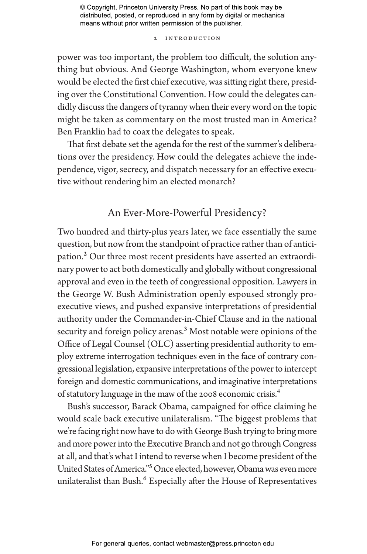## 2 INTRODUCTION

power was too important, the problem too difficult, the solution anything but obvious. And George Washington, whom everyone knew would be elected the first chief executive, was sitting right there, presiding over the Constitutional Convention. How could the delegates candidly discuss the dangers of tyranny when their every word on the topic might be taken as commentary on the most trusted man in America? Ben Franklin had to coax the delegates to speak.

That first debate set the agenda for the rest of the summer's deliberations over the presidency. How could the delegates achieve the independence, vigor, secrecy, and dispatch necessary for an effective executive without rendering him an elected monarch?

# An Ever-More-Powerful Presidency?

Two hundred and thirty-plus years later, we face essentially the same question, but now from the standpoint of practice rather than of anticipation.<sup>2</sup> Our three most recent presidents have asserted an extraordinary power to act both domestically and globally without congressional approval and even in the teeth of congressional opposition. Lawyers in the George W. Bush Administration openly espoused strongly proexecutive views, and pushed expansive interpretations of presidential authority under the Commander-in-Chief Clause and in the national security and foreign policy arenas.<sup>3</sup> Most notable were opinions of the Office of Legal Counsel (OLC) asserting presidential authority to employ extreme interrogation techniques even in the face of contrary congressional legislation, expansive interpretations of the power to intercept foreign and domestic communications, and imaginative interpretations of statutory language in the maw of the 2008 economic crisis.4

Bush's successor, Barack Obama, campaigned for office claiming he would scale back executive unilateralism. "The biggest problems that we're facing right now have to do with George Bush trying to bring more and more power into the Executive Branch and not go through Congress at all, and that's what I intend to reverse when I become president of the United States of America."5 Once elected, however, Obama was even more unilateralist than Bush.<sup>6</sup> Especially after the House of Representatives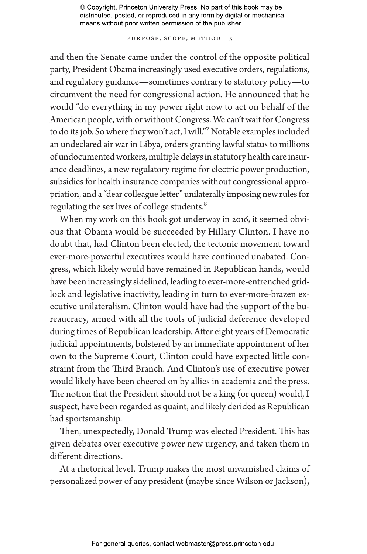Purpose, Scope, Method 3

and then the Senate came under the control of the opposite political party, President Obama increasingly used executive orders, regulations, and regulatory guidance—sometimes contrary to statutory policy—to circumvent the need for congressional action. He announced that he would "do everything in my power right now to act on behalf of the American people, with or without Congress. We can't wait for Congress to do its job. So where they won't act, I will."7 Notable examples included an undeclared air war in Libya, orders granting lawful status to millions of undocumented workers, multiple delays in statutory health care insurance deadlines, a new regulatory regime for electric power production, subsidies for health insurance companies without congressional appropriation, and a "dear colleague letter" unilaterally imposing new rules for regulating the sex lives of college students.<sup>8</sup>

When my work on this book got underway in 2016, it seemed obvious that Obama would be succeeded by Hillary Clinton. I have no doubt that, had Clinton been elected, the tectonic movement toward ever-more-powerful executives would have continued unabated. Congress, which likely would have remained in Republican hands, would have been increasingly sidelined, leading to ever-more-entrenched gridlock and legislative inactivity, leading in turn to ever-more-brazen executive unilateralism. Clinton would have had the support of the bureaucracy, armed with all the tools of judicial deference developed during times of Republican leadership. After eight years of Democratic judicial appointments, bolstered by an immediate appointment of her own to the Supreme Court, Clinton could have expected little constraint from the Third Branch. And Clinton's use of executive power would likely have been cheered on by allies in academia and the press. The notion that the President should not be a king (or queen) would, I suspect, have been regarded as quaint, and likely derided as Republican bad sportsmanship.

Then, unexpectedly, Donald Trump was elected President. This has given debates over executive power new urgency, and taken them in different directions.

At a rhetorical level, Trump makes the most unvarnished claims of personalized power of any president (maybe since Wilson or Jackson),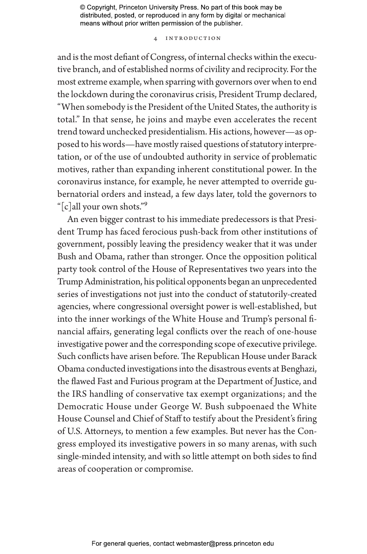## 4 INTRODUCTION

and is the most defiant of Congress, of internal checks within the executive branch, and of established norms of civility and reciprocity. For the most extreme example, when sparring with governors over when to end the lockdown during the coronavirus crisis, President Trump declared, "When somebody is the President of the United States, the authority is total." In that sense, he joins and maybe even accelerates the recent trend toward unchecked presidentialism. His actions, however—as opposed to his words—have mostly raised questions of statutory interpretation, or of the use of undoubted authority in service of problematic motives, rather than expanding inherent constitutional power. In the coronavirus instance, for example, he never attempted to override gubernatorial orders and instead, a few days later, told the governors to "[c]all your own shots."9

An even bigger contrast to his immediate predecessors is that President Trump has faced ferocious push-back from other institutions of government, possibly leaving the presidency weaker that it was under Bush and Obama, rather than stronger. Once the opposition political party took control of the House of Representatives two years into the Trump Administration, his political opponents began an unprecedented series of investigations not just into the conduct of statutorily-created agencies, where congressional oversight power is well-established, but into the inner workings of the White House and Trump's personal financial affairs, generating legal conflicts over the reach of one-house investigative power and the corresponding scope of executive privilege. Such conflicts have arisen before. The Republican House under Barack Obama conducted investigations into the disastrous events at Benghazi, the flawed Fast and Furious program at the Department of Justice, and the IRS handling of conservative tax exempt organizations; and the Democratic House under George W. Bush subpoenaed the White House Counsel and Chief of Staff to testify about the President's firing of U.S. Attorneys, to mention a few examples. But never has the Congress employed its investigative powers in so many arenas, with such single-minded intensity, and with so little attempt on both sides to find areas of cooperation or compromise.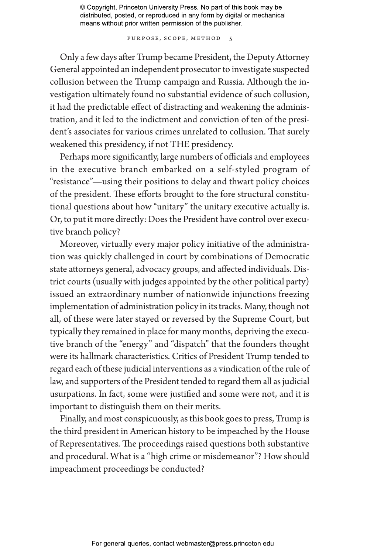PURPOSE, SCOPE, METHOD 5

Only a few days after Trump became President, the Deputy Attorney General appointed an independent prosecutor to investigate suspected collusion between the Trump campaign and Russia. Although the investigation ultimately found no substantial evidence of such collusion, it had the predictable effect of distracting and weakening the administration, and it led to the indictment and conviction of ten of the president's associates for various crimes unrelated to collusion. That surely weakened this presidency, if not THE presidency.

Perhaps more significantly, large numbers of officials and employees in the executive branch embarked on a self-styled program of "resistance"—using their positions to delay and thwart policy choices of the president. These efforts brought to the fore structural constitutional questions about how "unitary" the unitary executive actually is. Or, to put it more directly: Does the President have control over executive branch policy?

Moreover, virtually every major policy initiative of the administration was quickly challenged in court by combinations of Democratic state attorneys general, advocacy groups, and affected individuals. District courts (usually with judges appointed by the other political party) issued an extraordinary number of nationwide injunctions freezing implementation of administration policy in its tracks. Many, though not all, of these were later stayed or reversed by the Supreme Court, but typically they remained in place for many months, depriving the executive branch of the "energy" and "dispatch" that the founders thought were its hallmark characteristics. Critics of President Trump tended to regard each of these judicial interventions as a vindication of the rule of law, and supporters of the President tended to regard them all as judicial usurpations. In fact, some were justified and some were not, and it is important to distinguish them on their merits.

Finally, and most conspicuously, as this book goes to press, Trump is the third president in American history to be impeached by the House of Representatives. The proceedings raised questions both substantive and procedural. What is a "high crime or misdemeanor"? How should impeachment proceedings be conducted?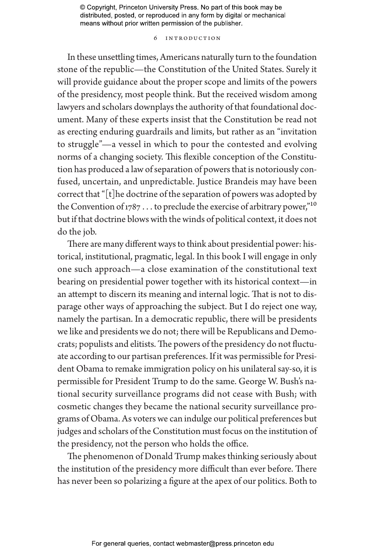## 6 INTRODUCTION

In these unsettling times, Americans naturally turn to the foundation stone of the republic—the Constitution of the United States. Surely it will provide guidance about the proper scope and limits of the powers of the presidency, most people think. But the received wisdom among lawyers and scholars downplays the authority of that foundational document. Many of these experts insist that the Constitution be read not as erecting enduring guardrails and limits, but rather as an "invitation to struggle"—a vessel in which to pour the contested and evolving norms of a changing society. This flexible conception of the Constitution has produced a law of separation of powers that is notoriously confused, uncertain, and unpredictable. Justice Brandeis may have been correct that "[t]he doctrine of the separation of powers was adopted by the Convention of  $1787...$  to preclude the exercise of arbitrary power,"<sup>10</sup> but if that doctrine blows with the winds of political context, it does not do the job.

There are many different ways to think about presidential power: historical, institutional, pragmatic, legal. In this book I will engage in only one such approach—a close examination of the constitutional text bearing on presidential power together with its historical context—in an attempt to discern its meaning and internal logic. That is not to disparage other ways of approaching the subject. But I do reject one way, namely the partisan. In a democratic republic, there will be presidents we like and presidents we do not; there will be Republicans and Democrats; populists and elitists. The powers of the presidency do not fluctuate according to our partisan preferences. If it was permissible for President Obama to remake immigration policy on his unilateral say-so, it is permissible for President Trump to do the same. George W. Bush's national security surveillance programs did not cease with Bush; with cosmetic changes they became the national security surveillance programs of Obama. As voters we can indulge our political preferences but judges and scholars of the Constitution must focus on the institution of the presidency, not the person who holds the office.

The phenomenon of Donald Trump makes thinking seriously about the institution of the presidency more difficult than ever before. There has never been so polarizing a figure at the apex of our politics. Both to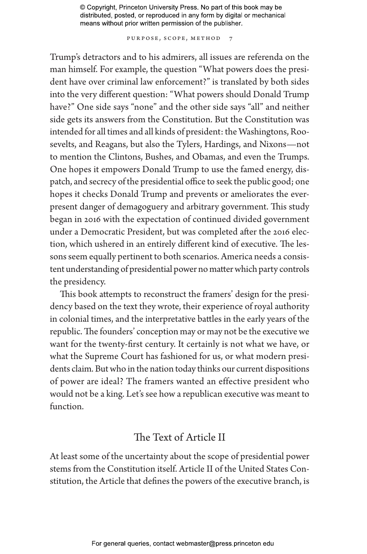PURPOSE, SCOPE, METHOD 7

Trump's detractors and to his admirers, all issues are referenda on the man himself. For example, the question "What powers does the president have over criminal law enforcement?" is translated by both sides into the very different question: "What powers should Donald Trump have?" One side says "none" and the other side says "all" and neither side gets its answers from the Constitution. But the Constitution was intended for all times and all kinds of president: the Washingtons, Roosevelts, and Reagans, but also the Tylers, Hardings, and Nixons—not to mention the Clintons, Bushes, and Obamas, and even the Trumps. One hopes it empowers Donald Trump to use the famed energy, dispatch, and secrecy of the presidential office to seek the public good; one hopes it checks Donald Trump and prevents or ameliorates the everpresent danger of demagoguery and arbitrary government. This study began in 2016 with the expectation of continued divided government under a Democratic President, but was completed after the 2016 election, which ushered in an entirely different kind of executive. The lessons seem equally pertinent to both scenarios. America needs a consistent understanding of presidential power no matter which party controls the presidency.

This book attempts to reconstruct the framers' design for the presidency based on the text they wrote, their experience of royal authority in colonial times, and the interpretative battles in the early years of the republic. The founders' conception may or may not be the executive we want for the twenty-first century. It certainly is not what we have, or what the Supreme Court has fashioned for us, or what modern presidents claim. But who in the nation today thinks our current dispositions of power are ideal? The framers wanted an effective president who would not be a king. Let's see how a republican executive was meant to function.

# The Text of Article II

At least some of the uncertainty about the scope of presidential power stems from the Constitution itself. Article II of the United States Constitution, the Article that defines the powers of the executive branch, is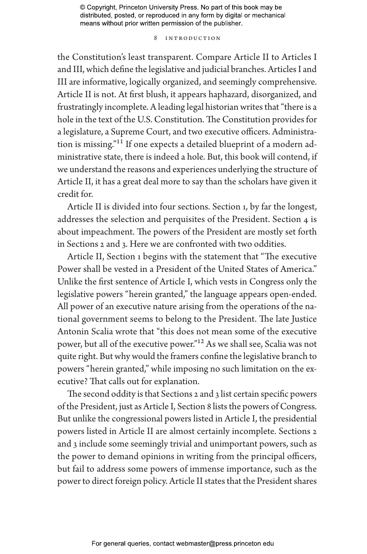#### 8 INTRODUCTION

the Constitution's least transparent. Compare Article II to Articles I and III, which define the legislative and judicial branches. Articles I and III are informative, logically organized, and seemingly comprehensive. Article II is not. At first blush, it appears haphazard, disorganized, and frustratingly incomplete. A leading legal historian writes that "there is a hole in the text of the U.S. Constitution. The Constitution provides for a legislature, a Supreme Court, and two executive officers. Administration is missing."11 If one expects a detailed blueprint of a modern administrative state, there is indeed a hole. But, this book will contend, if we understand the reasons and experiences underlying the structure of Article II, it has a great deal more to say than the scholars have given it credit for.

Article II is divided into four sections. Section 1, by far the longest, addresses the selection and perquisites of the President. Section 4 is about impeachment. The powers of the President are mostly set forth in Sections 2 and 3. Here we are confronted with two oddities.

Article II, Section 1 begins with the statement that "The executive Power shall be vested in a President of the United States of America." Unlike the first sentence of Article I, which vests in Congress only the legislative powers "herein granted," the language appears open-ended. All power of an executive nature arising from the operations of the national government seems to belong to the President. The late Justice Antonin Scalia wrote that "this does not mean some of the executive power, but all of the executive power."12 As we shall see, Scalia was not quite right. But why would the framers confine the legislative branch to powers "herein granted," while imposing no such limitation on the executive? That calls out for explanation.

The second oddity is that Sections 2 and 3 list certain specific powers of the President, just as Article I, Section 8 lists the powers of Congress. But unlike the congressional powers listed in Article I, the presidential powers listed in Article II are almost certainly incomplete. Sections 2 and 3 include some seemingly trivial and unimportant powers, such as the power to demand opinions in writing from the principal officers, but fail to address some powers of immense importance, such as the power to direct foreign policy. Article II states that the President shares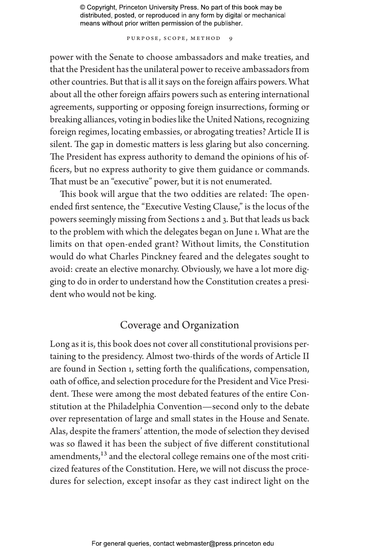PURPOSE, SCOPE, METHOD 9

power with the Senate to choose ambassadors and make treaties, and that the President has the unilateral power to receive ambassadors from other countries. But that is all it says on the foreign affairs powers. What about all the other foreign affairs powers such as entering international agreements, supporting or opposing foreign insurrections, forming or breaking alliances, voting in bodies like the United Nations, recognizing foreign regimes, locating embassies, or abrogating treaties? Article II is silent. The gap in domestic matters is less glaring but also concerning. The President has express authority to demand the opinions of his officers, but no express authority to give them guidance or commands. That must be an "executive" power, but it is not enumerated.

This book will argue that the two oddities are related: The openended first sentence, the "Executive Vesting Clause," is the locus of the powers seemingly missing from Sections 2 and 3. But that leads us back to the problem with which the delegates began on June 1. What are the limits on that open-ended grant? Without limits, the Constitution would do what Charles Pinckney feared and the delegates sought to avoid: create an elective monarchy. Obviously, we have a lot more digging to do in order to understand how the Constitution creates a president who would not be king.

# Coverage and Organization

Long as it is, this book does not cover all constitutional provisions pertaining to the presidency. Almost two-thirds of the words of Article II are found in Section 1, setting forth the qualifications, compensation, oath of office, and selection procedure for the President and Vice President. These were among the most debated features of the entire Constitution at the Philadelphia Convention—second only to the debate over representation of large and small states in the House and Senate. Alas, despite the framers' attention, the mode of selection they devised was so flawed it has been the subject of five different constitutional amendments,<sup>13</sup> and the electoral college remains one of the most criticized features of the Constitution. Here, we will not discuss the procedures for selection, except insofar as they cast indirect light on the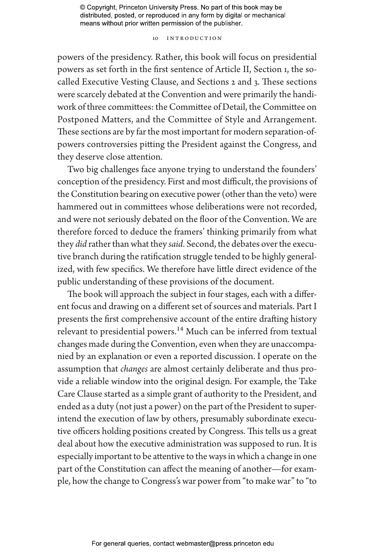## 10 INTRODUCTION

powers of the presidency. Rather, this book will focus on presidential powers as set forth in the first sentence of Article II, Section 1, the socalled Executive Vesting Clause, and Sections 2 and 3. These sections were scarcely debated at the Convention and were primarily the handiwork of three committees: the Committee of Detail, the Committee on Postponed Matters, and the Committee of Style and Arrangement. These sections are by far the most important for modern separation-ofpowers controversies pitting the President against the Congress, and they deserve close attention.

Two big challenges face anyone trying to understand the founders' conception of the presidency. First and most difficult, the provisions of the Constitution bearing on executive power (other than the veto) were hammered out in committees whose deliberations were not recorded, and were not seriously debated on the floor of the Convention. We are therefore forced to deduce the framers' thinking primarily from what they *did* rather than what they *said*. Second, the debates over the executive branch during the ratification struggle tended to be highly generalized, with few specifics. We therefore have little direct evidence of the public understanding of these provisions of the document.

The book will approach the subject in four stages, each with a different focus and drawing on a different set of sources and materials. Part I presents the first comprehensive account of the entire drafting history relevant to presidential powers.<sup>14</sup> Much can be inferred from textual changes made during the Convention, even when they are unaccompanied by an explanation or even a reported discussion. I operate on the assumption that *changes* are almost certainly deliberate and thus provide a reliable window into the original design. For example, the Take Care Clause started as a simple grant of authority to the President, and ended as a duty (not just a power) on the part of the President to superintend the execution of law by others, presumably subordinate executive officers holding positions created by Congress. This tells us a great deal about how the executive administration was supposed to run. It is especially important to be attentive to the ways in which a change in one part of the Constitution can affect the meaning of another—for example, how the change to Congress's war power from "to make war" to "to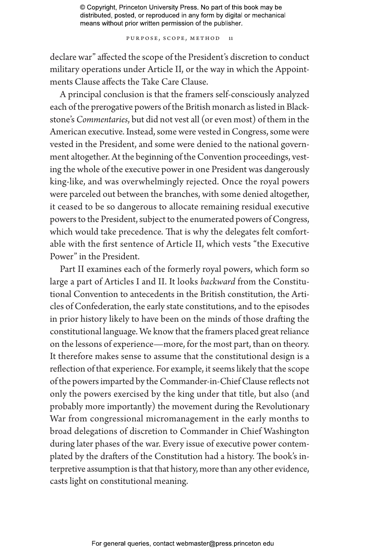PURPOSE, SCOPE, METHOD 11

declare war" affected the scope of the President's discretion to conduct military operations under Article II, or the way in which the Appointments Clause affects the Take Care Clause.

A principal conclusion is that the framers self-consciously analyzed each of the prerogative powers of the British monarch as listed in Blackstone's *Commentaries*, but did not vest all (or even most) of them in the American executive. Instead, some were vested in Congress, some were vested in the President, and some were denied to the national government altogether. At the beginning of the Convention proceedings, vesting the whole of the executive power in one President was dangerously king-like, and was overwhelmingly rejected. Once the royal powers were parceled out between the branches, with some denied altogether, it ceased to be so dangerous to allocate remaining residual executive powers to the President, subject to the enumerated powers of Congress, which would take precedence. That is why the delegates felt comfortable with the first sentence of Article II, which vests "the Executive Power" in the President.

Part II examines each of the formerly royal powers, which form so large a part of Articles I and II. It looks *backward* from the Constitutional Convention to antecedents in the British constitution, the Articles of Confederation, the early state constitutions, and to the episodes in prior history likely to have been on the minds of those drafting the constitutional language. We know that the framers placed great reliance on the lessons of experience—more, for the most part, than on theory. It therefore makes sense to assume that the constitutional design is a reflection of that experience. For example, it seems likely that the scope of the powers imparted by the Commander-in-Chief Clause reflects not only the powers exercised by the king under that title, but also (and probably more importantly) the movement during the Revolutionary War from congressional micromanagement in the early months to broad delegations of discretion to Commander in Chief Washington during later phases of the war. Every issue of executive power contemplated by the drafters of the Constitution had a history. The book's interpretive assumption is that that history, more than any other evidence, casts light on constitutional meaning.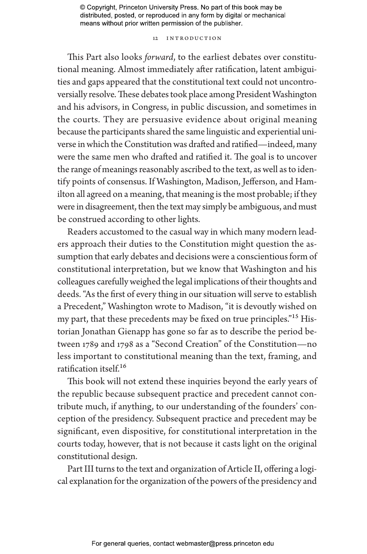## 12 INTRODUCTION

This Part also looks *forward*, to the earliest debates over constitutional meaning. Almost immediately after ratification, latent ambiguities and gaps appeared that the constitutional text could not uncontroversially resolve. These debates took place among President Washington and his advisors, in Congress, in public discussion, and sometimes in the courts. They are persuasive evidence about original meaning because the participants shared the same linguistic and experiential universe in which the Constitution was drafted and ratified—indeed, many were the same men who drafted and ratified it. The goal is to uncover the range of meanings reasonably ascribed to the text, as well as to identify points of consensus. If Washington, Madison, Jefferson, and Hamilton all agreed on a meaning, that meaning is the most probable; if they were in disagreement, then the text may simply be ambiguous, and must be construed according to other lights.

Readers accustomed to the casual way in which many modern leaders approach their duties to the Constitution might question the assumption that early debates and decisions were a conscientious form of constitutional interpretation, but we know that Washington and his colleagues carefully weighed the legal implications of their thoughts and deeds. "As the first of every thing in our situation will serve to establish a Precedent," Washington wrote to Madison, "it is devoutly wished on my part, that these precedents may be fixed on true principles."<sup>15</sup> Historian Jonathan Gienapp has gone so far as to describe the period between 1789 and 1798 as a "Second Creation" of the Constitution—no less important to constitutional meaning than the text, framing, and ratification itself.16

This book will not extend these inquiries beyond the early years of the republic because subsequent practice and precedent cannot contribute much, if anything, to our understanding of the founders' conception of the presidency. Subsequent practice and precedent may be significant, even dispositive, for constitutional interpretation in the courts today, however, that is not because it casts light on the original constitutional design.

Part III turns to the text and organization of Article II, offering a logical explanation for the organization of the powers of the presidency and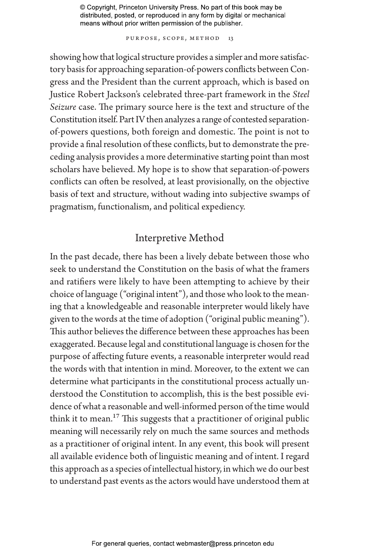PURPOSE, SCOPE, METHOD 13

showing how that logical structure provides a simpler and more satisfactory basis for approaching separation-of-powers conflicts between Congress and the President than the current approach, which is based on Justice Robert Jackson's celebrated three-part framework in the *Steel Seizure* case. The primary source here is the text and structure of the Constitution itself. Part IV then analyzes a range of contested separationof-powers questions, both foreign and domestic. The point is not to provide a final resolution of these conflicts, but to demonstrate the preceding analysis provides a more determinative starting point than most scholars have believed. My hope is to show that separation-of-powers conflicts can often be resolved, at least provisionally, on the objective basis of text and structure, without wading into subjective swamps of pragmatism, functionalism, and political expediency.

# Interpretive Method

In the past decade, there has been a lively debate between those who seek to understand the Constitution on the basis of what the framers and ratifiers were likely to have been attempting to achieve by their choice of language ("original intent"), and those who look to the meaning that a knowledgeable and reasonable interpreter would likely have given to the words at the time of adoption ("original public meaning"). This author believes the difference between these approaches has been exaggerated. Because legal and constitutional language is chosen for the purpose of affecting future events, a reasonable interpreter would read the words with that intention in mind. Moreover, to the extent we can determine what participants in the constitutional process actually understood the Constitution to accomplish, this is the best possible evidence of what a reasonable and well-informed person of the time would think it to mean.<sup>17</sup> This suggests that a practitioner of original public meaning will necessarily rely on much the same sources and methods as a practitioner of original intent. In any event, this book will present all available evidence both of linguistic meaning and of intent. I regard this approach as a species of intellectual history, in which we do our best to understand past events as the actors would have understood them at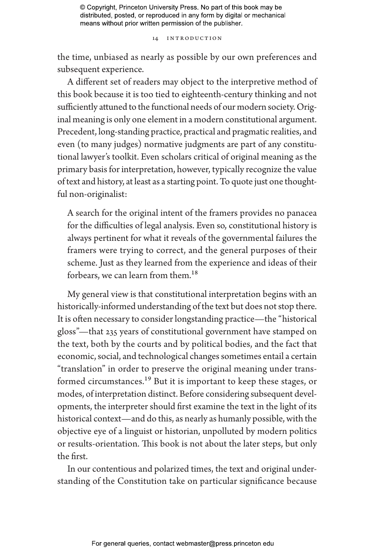14 INTRODUCTION

the time, unbiased as nearly as possible by our own preferences and subsequent experience.

A different set of readers may object to the interpretive method of this book because it is too tied to eighteenth-century thinking and not sufficiently attuned to the functional needs of our modern society. Original meaning is only one element in a modern constitutional argument. Precedent, long-standing practice, practical and pragmatic realities, and even (to many judges) normative judgments are part of any constitutional lawyer's toolkit. Even scholars critical of original meaning as the primary basis for interpretation, however, typically recognize the value of text and history, at least as a starting point. To quote just one thoughtful non-originalist:

A search for the original intent of the framers provides no panacea for the difficulties of legal analysis. Even so, constitutional history is always pertinent for what it reveals of the governmental failures the framers were trying to correct, and the general purposes of their scheme. Just as they learned from the experience and ideas of their forbears, we can learn from them.<sup>18</sup>

My general view is that constitutional interpretation begins with an historically-informed understanding of the text but does not stop there. It is often necessary to consider longstanding practice—the "historical gloss"—that 235 years of constitutional government have stamped on the text, both by the courts and by political bodies, and the fact that economic, social, and technological changes sometimes entail a certain "translation" in order to preserve the original meaning under transformed circumstances.<sup>19</sup> But it is important to keep these stages, or modes, of interpretation distinct. Before considering subsequent developments, the interpreter should first examine the text in the light of its historical context—and do this, as nearly as humanly possible, with the objective eye of a linguist or historian, unpolluted by modern politics or results-orientation. This book is not about the later steps, but only the first.

In our contentious and polarized times, the text and original understanding of the Constitution take on particular significance because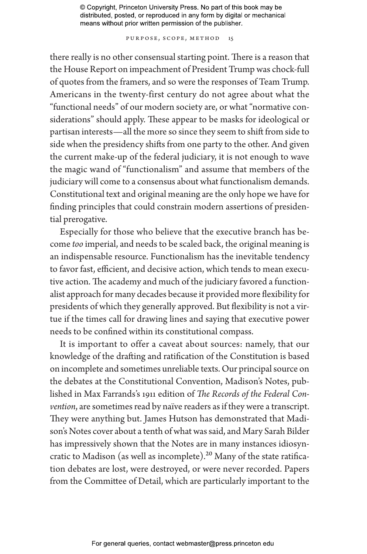Purpose, Scope, Method 15

there really is no other consensual starting point. There is a reason that the House Report on impeachment of President Trump was chock-full of quotes from the framers, and so were the responses of Team Trump. Americans in the twenty-first century do not agree about what the "functional needs" of our modern society are, or what "normative considerations" should apply. These appear to be masks for ideological or partisan interests—all the more so since they seem to shift from side to side when the presidency shifts from one party to the other. And given the current make-up of the federal judiciary, it is not enough to wave the magic wand of "functionalism" and assume that members of the judiciary will come to a consensus about what functionalism demands. Constitutional text and original meaning are the only hope we have for finding principles that could constrain modern assertions of presidential prerogative.

Especially for those who believe that the executive branch has become *too* imperial, and needs to be scaled back, the original meaning is an indispensable resource. Functionalism has the inevitable tendency to favor fast, efficient, and decisive action, which tends to mean executive action. The academy and much of the judiciary favored a functionalist approach for many decades because it provided more flexibility for presidents of which they generally approved. But flexibility is not a virtue if the times call for drawing lines and saying that executive power needs to be confined within its constitutional compass.

It is important to offer a caveat about sources: namely, that our knowledge of the drafting and ratification of the Constitution is based on incomplete and sometimes unreliable texts. Our principal source on the debates at the Constitutional Convention, Madison's Notes, published in Max Farrands's 1911 edition of *The Records of the Federal Convention*, are sometimes read by naïve readers as if they were a transcript. They were anything but. James Hutson has demonstrated that Madison's Notes cover about a tenth of what was said, and Mary Sarah Bilder has impressively shown that the Notes are in many instances idiosyncratic to Madison (as well as incomplete).<sup>20</sup> Many of the state ratification debates are lost, were destroyed, or were never recorded. Papers from the Committee of Detail, which are particularly important to the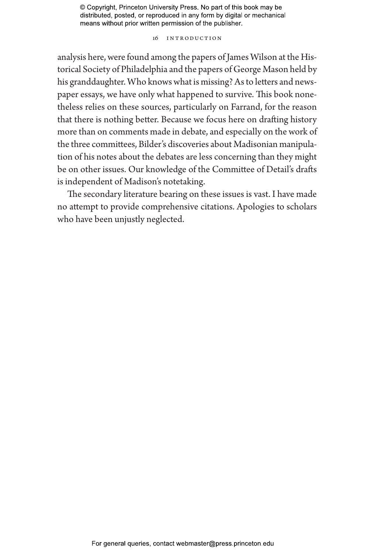#### 16 INTRODUCTION

analysis here, were found among the papers of James Wilson at the Historical Society of Philadelphia and the papers of George Mason held by his granddaughter. Who knows what is missing? As to letters and newspaper essays, we have only what happened to survive. This book nonetheless relies on these sources, particularly on Farrand, for the reason that there is nothing better. Because we focus here on drafting history more than on comments made in debate, and especially on the work of the three committees, Bilder's discoveries about Madisonian manipulation of his notes about the debates are less concerning than they might be on other issues. Our knowledge of the Committee of Detail's drafts is independent of Madison's notetaking.

The secondary literature bearing on these issues is vast. I have made no attempt to provide comprehensive citations. Apologies to scholars who have been unjustly neglected.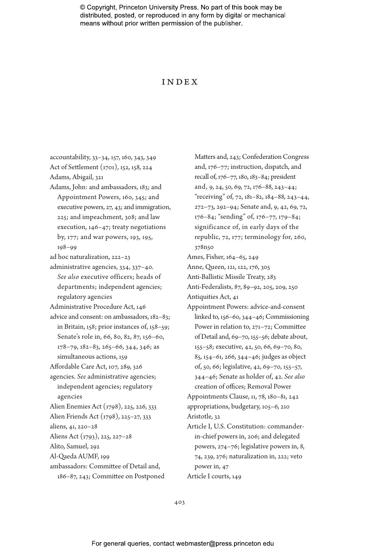## Index

accountability, 33–34, 157, 160, 343, 349 Act of Settlement (1701), 152, 158, 224 Adams, Abigail, 321 Adams, John: and ambassadors, 183; and Appointment Powers, 160, 345; and executive powers, 27, 43; and immigration, 225; and impeachment, 308; and law execution, 146–47; treaty negotiations by, 177; and war powers, 193, 195, 198–99 ad hoc naturalization, 222–23 administrative agencies, 334, 337–40. *See also* executive officers; heads of departments; independent agencies; regulatory agencies Administrative Procedure Act, 146 advice and consent: on ambassadors, 182–83; in Britain, 158; prior instances of, 158–59; Senate's role in, 66, 80, 82, 87, 156–60,  $178 - 79$ ,  $182 - 83$ ,  $265 - 66$ ,  $344$ ,  $346$ ; as simultaneous actions, 159 Affordable Care Act, 107, 289, 326 agencies. *See* administrative agencies; independent agencies; regulatory agencies Alien Enemies Act (1798), 225, 226, 333 Alien Friends Act (1798), 225–27, 333 aliens, 41, 220–28 Aliens Act (1793), 225, 227–28 Alito, Samuel, 292 Al-Qaeda AUMF, 199 ambassadors: Committee of Detail and, 186–87, 243; Committee on Postponed

Matters and, 243; Confederation Congress and, 176–77; instruction, dispatch, and recall of, 176–77, 180, 183–84; president and, 9, 24, 50, 69, 72, 176–88, 243–44; "receiving" of, 72, 181–82, 184–88, 243–44, 272–73, 292–94; Senate and, 9, 42, 69, 72, 176–84; "sending" of, 176–77, 179–84; significance of, in early days of the republic, 72, 177; terminology for, 260, 378n50 Ames, Fisher, 164–65, 249 Anne, Queen, 121, 122, 176, 305 Anti-Ballistic Missile Treaty, 283 Anti-Federalists, 87, 89–92, 205, 209, 250 Antiquities Act, 41 Appointment Powers: advice-and-consent linked to, 156–60, 344–46; Commissioning Power in relation to, 271–72; Committee of Detail and, 69–70, 155–56; debate about, 155–58; executive, 42, 50, 66, 69–70, 80, 85, 154–61, 266, 344–46; judges as object of, 50, 66; legislative, 42, 69–70, 155–57, 344–46; Senate as holder of, 42. *See also* creation of offices; Removal Power Appointments Clause, 11, 78, 180–81, 242 appropriations, budgetary, 105–6, 210 Aristotle, 32 Article I, U.S. Constitution: commanderin-chief powers in, 206; and delegated powers, 274–76; legislative powers in, 8, 74, 239, 276; naturalization in, 222; veto power in, 47

Article I courts, 149

403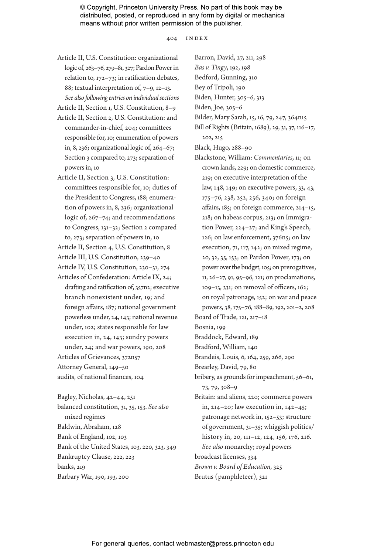404 index

Article II, U.S. Constitution: organizational logic of, 263–76, 279–81, 327; Pardon Power in relation to, 172–73; in ratification debates, 88; textual interpretation of, 7–9, 12–13. *See also following entries on individual sections*

Article II, Section 1, U.S. Constitution, 8–9

- Article II, Section 2, U.S. Constitution: and commander-in-chief, 204; committees responsible for, 10; enumeration of powers in, 8, 236; organizational logic of, 264–67; Section 3 compared to, 273; separation of powers in, 10
- Article II, Section 3, U.S. Constitution: committees responsible for, 10; duties of the President to Congress, 188; enumeration of powers in, 8, 236; organizational logic of, 267–74; and recommendations to Congress, 131–32; Section 2 compared to, 273; separation of powers in, 10
- Article II, Section 4, U.S. Constitution, 8 Article III, U.S. Constitution, 239–40
- Article IV, U.S. Constitution, 230–31, 274
- Articles of Confederation: Article IX, 24; drafting and ratification of, 357n2; executive branch nonexistent under, 19; and foreign affairs, 187; national government powerless under, 24, 143; national revenue under, 102; states responsible for law execution in, 24, 143; sundry powers under, 24; and war powers, 190, 208 Articles of Grievances, 372n57 Attorney General, 149–50

audits, of national finances, 104

Bagley, Nicholas, 42–44, 251 balanced constitution, 31, 35, 153. *See also* mixed regimes Baldwin, Abraham, 128 Bank of England, 102, 103 Bank of the United States, 103, 220, 323, 349 Bankruptcy Clause, 222, 223 banks, 219 Barbary War, 190, 193, 200

Barron, David, 27, 211, 298 *Bas v. Tingy*, 192, 198 Bedford, Gunning, 310 Bey of Tripoli, 190 Biden, Hunter, 305–6, 313 Biden, Joe, 305–6 Bilder, Mary Sarah, 15, 16, 79, 247, 364n15 Bill of Rights (Britain, 1689), 29, 31, 37, 116–17, 202, 215 Black, Hugo, 288–90 Blackstone, William: *Commentaries*, 11; on crown lands, 229; on domestic commerce, 219; on executive interpretation of the law, 148, 149; on executive powers, 33, 43, 175–76, 238, 252, 256, 340; on foreign affairs, 185; on foreign commerce, 214–15, 218; on habeas corpus, 213; on Immigration Power, 224–27; and King's Speech, 126; on law enforcement, 376n5; on law execution, 71, 117, 142; on mixed regime, 20, 32, 35, 153; on Pardon Power, 173; on power over the budget, 105; on prerogatives, 11, 26–27, 91, 95–96, 121; on proclamations, 109–13, 331; on removal of officers, 162; on royal patronage, 152; on war and peace powers, 38, 175–76, 188–89, 192, 201–2, 208 Board of Trade, 121, 217–18 Bosnia, 199 Braddock, Edward, 189 Bradford, William, 140 Brandeis, Louis, 6, 164, 259, 266, 290 Brearley, David, 79, 80 bribery, as grounds for impeachment, 56–61, 73, 79, 308–9 Britain: and aliens, 220; commerce powers in, 214–20; law execution in, 142–45; patronage network in, 152–53; structure of government, 31–35; whiggish politics/ history in, 20, 111–12, 124, 156, 176, 216. *See also* monarchy; royal powers broadcast licenses, 334 *Brown v. Board of Education*, 325 Brutus (pamphleteer), 321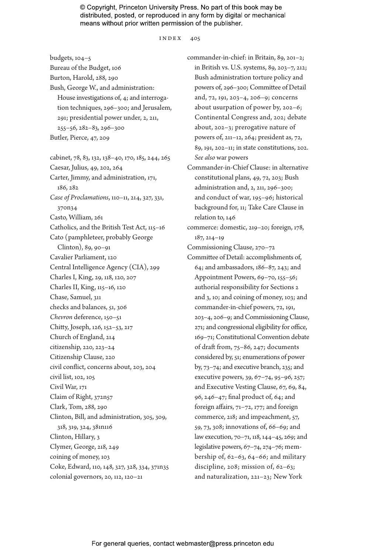#### index 405

budgets, 104–5 Bureau of the Budget, 106 Burton, Harold, 288, 290 Bush, George W., and administration: House investigations of, 4; and interrogation techniques, 296–300; and Jerusalem, 291; presidential power under, 2, 211, 255–56, 282–83, 296–300 Butler, Pierce, 47, 209 cabinet, 78, 83, 132, 138–40, 170, 185, 244, 265 Caesar, Julius, 49, 202, 264 Carter, Jimmy, and administration, 171, 186, 282 *Case of Proclamations*, 110–11, 214, 327, 331, 370n34 Casto, William, 261 Catholics, and the British Test Act, 115–16 Cato (pamphleteer, probably George Clinton), 89, 90–91 Cavalier Parliament, 120 Central Intelligence Agency (CIA), 299 Charles I, King, 29, 118, 120, 207 Charles II, King, 115–16, 120 Chase, Samuel, 311 checks and balances, 51, 306 *Chevron* deference, 150–51

Chitty, Joseph, 126, 152–53, 217 Church of England, 214 citizenship, 220, 223–24 Citizenship Clause, 220

civil list, 102, 105 Civil War, 171 Claim of Right, 372n57 Clark, Tom, 288, 290

318, 319, 324, 381n116 Clinton, Hillary, 3 Clymer, George, 218, 249 coining of money, 103

civil conflict, concerns about, 203, 204

Clinton, Bill, and administration, 305, 309,

Coke, Edward, 110, 148, 327, 328, 334, 371n35 colonial governors, 20, 112, 120–21

commander-in-chief: in Britain, 89, 201–2; in British vs. U.S. systems, 89, 203–7, 212; Bush administration torture policy and powers of, 296–300; Committee of Detail and, 72, 191, 203–4, 206–9; concerns about usurpation of power by, 202–6; Continental Congress and, 202; debate about, 202–3; prerogative nature of powers of, 211–12, 264; president as, 72, 89, 191, 202–11; in state constitutions, 202. *See also* war powers Commander-in-Chief Clause: in alternative constitutional plans, 49, 72, 203; Bush administration and, 2, 211, 296–300; and conduct of war, 195–96; historical background for, 11; Take Care Clause in relation to, 146

commerce: domestic, 219–20; foreign, 178, 187, 214–19

Commissioning Clause, 270–72

Committee of Detail: accomplishments of, 64; and ambassadors, 186–87, 243; and Appointment Powers, 69–70, 155–56; authorial responsibility for Sections 2 and 3, 10; and coining of money, 103; and commander-in-chief powers, 72, 191, 203–4, 206–9; and Commissioning Clause, 271; and congressional eligibility for office, 169–71; Constitutional Convention debate of draft from, 75–86, 247; documents considered by, 51; enumerations of power by, 73–74; and executive branch, 235; and executive powers, 39, 67–74, 95–96, 257; and Executive Vesting Clause, 67, 69, 84, 96, 246–47; final product of, 64; and foreign affairs, 71–72, 177; and foreign commerce, 218; and impeachment, 57, 59, 73, 308; innovations of, 66–69; and law execution, 70–71, 118, 144–45, 269; and legislative powers, 67–74, 274–76; membership of, 62–63, 64–66; and military discipline, 208; mission of, 62–63; and naturalization, 221–23; New York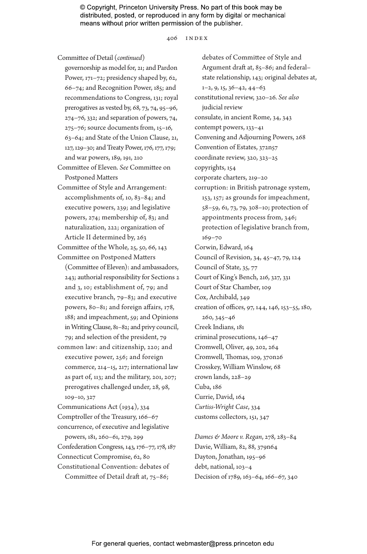406 index

Committee of Detail (*continued*)

governorship as model for, 21; and Pardon Power, 171–72; presidency shaped by, 62, 66–74; and Recognition Power, 185; and recommendations to Congress, 131; royal prerogatives as vested by, 68, 73, 74, 95–96, 274–76, 332; and separation of powers, 74, 275–76; source documents from, 15–16, 63–64; and State of the Union Clause, 21, 127, 129–30; and Treaty Power, 176, 177, 179; and war powers, 189, 191, 210

- Committee of Eleven. *See* Committee on Postponed Matters
- Committee of Style and Arrangement: accomplishments of, 10, 83–84; and executive powers, 239; and legislative powers, 274; membership of, 83; and naturalization, 222; organization of Article II determined by, 263
- Committee of the Whole, 25, 50, 66, 143 Committee on Postponed Matters
- (Committee of Eleven): and ambassadors, 243; authorial responsibility for Sections 2 and 3, 10; establishment of, 79; and executive branch, 79–83; and executive powers, 80–81; and foreign affairs, 178, 188; and impeachment, 59; and Opinions in Writing Clause, 81–82; and privy council, 79; and selection of the president, 79
- common law: and citizenship, 220; and executive power, 256; and foreign commerce, 214–15, 217; international law as part of, 113; and the military, 201, 207; prerogatives challenged under, 28, 98, 109–10, 327

Communications Act (1934), 334 Comptroller of the Treasury, 166–67 concurrence, of executive and legislative powers, 181, 260–61, 279, 299 Confederation Congress, 143, 176–77, 178, 187 Connecticut Compromise, 62, 80 Constitutional Convention: debates of Committee of Detail draft at, 75–86;

debates of Committee of Style and Argument draft at, 85–86; and federal– state relationship, 143; original debates at,  $1-2, 9, 15, 36-42, 44-63$ constitutional review, 320–26. *See also* judicial review consulate, in ancient Rome, 34, 343 contempt powers, 133–41 Convening and Adjourning Powers, 268 Convention of Estates, 372n57 coordinate review, 320, 323–25 copyrights, 154 corporate charters, 219–20 corruption: in British patronage system, 153, 157; as grounds for impeachment, 58–59, 61, 73, 79, 308–10; protection of appointments process from, 346; protection of legislative branch from, 169–70 Corwin, Edward, 164 Council of Revision, 34, 45–47, 79, 124 Council of State, 35, 77 Court of King's Bench, 216, 327, 331 Court of Star Chamber, 109 Cox, Archibald, 349 creation of offices, 97, 144, 146, 153–55, 180, 260, 345–46 Creek Indians, 181 criminal prosecutions, 146–47 Cromwell, Oliver, 49, 202, 264 Cromwell, Thomas, 109, 370n26 Crosskey, William Winslow, 68 crown lands, 228–29 Cuba, 186 Currie, David, 164 *Curtiss-Wright Case*, 334 customs collectors, 151, 347

*Dames & Moore v. Regan*, 278, 283–84 Davie, William, 82, 88, 379n64 Dayton, Jonathan, 195–96 debt, national, 103–4 Decision of 1789, 163–64, 166–67, 340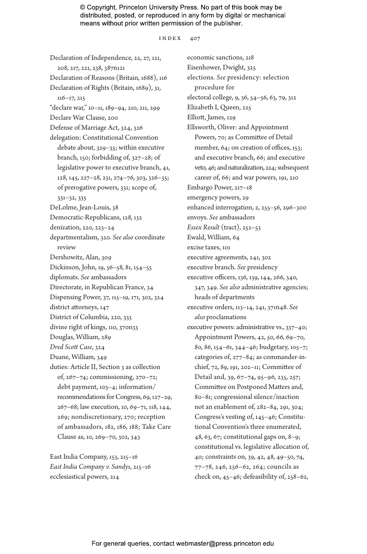index 407

Declaration of Independence, 22, 27, 121, 208, 217, 221, 238, 387n121 Declaration of Reasons (Britain, 1688), 116 Declaration of Rights (Britain, 1689), 31, 116–17, 215 "declare war," 10–11, 189–94, 210, 211, 299 Declare War Clause, 200 Defense of Marriage Act, 324, 326 delegation: Constitutional Convention debate about, 329–35; within executive branch, 150; forbidding of, 327–28; of legislative power to executive branch, 41, 128, 145, 227–28, 231, 274–76, 303, 326–35; of prerogative powers, 331; scope of, 331–32, 335 DeLolme, Jean-Louis, 38 Democratic-Republicans, 128, 132 denization, 220, 223–24 departmentalism, 320. *See also* coordinate review Dershowitz, Alan, 309 Dickinson, John, 19, 56–58, 81, 154–55 diplomats. *See* ambassadors Directorate, in Republican France, 34 Dispensing Power, 37, 115–19, 171, 302, 324 district attorneys, 147 District of Columbia, 220, 333 divine right of kings, 110, 370n33 Douglas, William, 289 *Dred Scott Case*, 324 Duane, William, 349 duties: Article II, Section 3 as collection of, 267–74; commissioning, 270–72; debt payment, 103–4; information/ recommendations for Congress, 69, 127–29, 267–68; law execution, 10, 69–71, 118, 144, 269; nondiscretionary, 270; reception of ambassadors, 182, 186, 188; Take Care Clause as, 10, 269–70, 302, 343

East India Company, 153, 215–16 *East India Company v. Sandys*, 215–16 ecclesiastical powers, 214

economic sanctions, 218 Eisenhower, Dwight, 325 elections. *See* presidency: selection procedure for electoral college, 9, 36, 54–56, 63, 79, 312 Elizabeth I, Queen, 225 Elliott, James, 129 Ellsworth, Oliver: and Appointment Powers, 70; as Committee of Detail member, 64; on creation of offices, 153; and executive branch, 66; and executive veto, 46; and naturalization, 224; subsequent career of, 66; and war powers, 191, 210 Embargo Power, 217–18 emergency powers, 29 enhanced interrogation, 2, 255–56, 296–300 envoys. *See* ambassadors *Essex Result* (tract), 252–53 Ewald, William, 64 excise taxes, 101 executive agreements, 241, 302 executive branch. *See* presidency executive officers, 136, 139, 144, 266, 340, 347, 349. *See also* administrative agencies; heads of departments executive orders, 113–14, 241, 371n48. *See also* proclamations executive powers: administrative vs., 337–40; Appointment Powers, 42, 50, 66, 69–70, 80, 86, 154–61, 344–46; budgetary, 105–7; categories of, 277–84; as commander-inchief, 72, 89, 191, 202–11; Committee of Detail and, 39, 67–74, 95–96, 235, 257; Committee on Postponed Matters and, 80–81; congressional silence/inaction not an enablement of, 282–84, 291, 304; Congress's vesting of, 145–46; Constitutional Convention's three enumerated, 48, 63, 67; constitutional gaps on, 8–9; constitutional vs. legislative allocation of, 40; constraints on, 39, 42, 48, 49–50, 74, 77–78, 246, 256–62, 264; councils as check on, 45–46; defeasibility of, 258–62,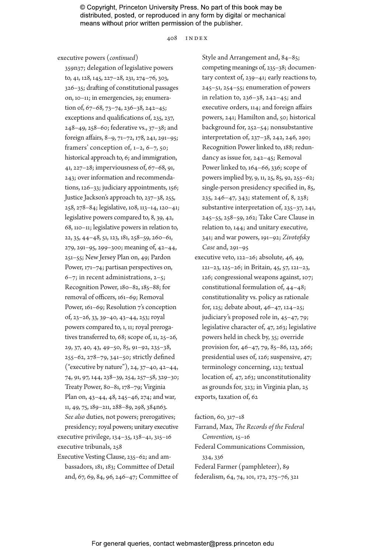408 index

executive powers (*continued*)

359n37; delegation of legislative powers to, 41, 128, 145, 227–28, 231, 274–76, 303, 326–35; drafting of constitutional passages on, 10–11; in emergencies, 29; enumeration of, 67–68, 73–74, 236–38, 242–45; exceptions and qualifications of, 235, 237, 248–49, 258–60; federative vs., 37–38; and foreign affairs, 8–9, 71–72, 178, 241, 291–95; framers' conception of,  $1-2$ ,  $6-7$ ,  $50$ ; historical approach to, 6; and immigration, 41, 227–28; imperviousness of, 67–68, 91, 243; over information and recommendations, 126–33; judiciary appointments, 156; Justice Jackson's approach to, 237–38, 255, 258, 278–84; legislative, 108, 113–14, 120–41; legislative powers compared to, 8, 39, 42, 68, 110–11; legislative powers in relation to, 22, 35, 44–48, 51, 123, 181, 258–59, 260–61, 279, 291–95, 299–300; meaning of, 42–44, 251–55; New Jersey Plan on, 49; Pardon Power, 171–74; partisan perspectives on, 6–7; in recent administrations, 2–5; Recognition Power, 180–82, 185–88; for removal of officers, 161–69; Removal Power, 161–69; Resolution 7's conception of, 23–26, 33, 39–40, 43–44, 253; royal powers compared to, 1, 11; royal prerogatives transferred to, 68; scope of, 11, 25–26, 29, 37, 40, 43, 49–50, 85, 91–92, 235–38, 255–62, 278–79, 341–50; strictly defined ("executive by nature"), 24, 37–40, 42–44, 74, 91, 97, 144, 238–39, 254, 257–58, 329–30; Treaty Power, 80–81, 178–79; Virginia Plan on, 43–44, 48, 245–46, 274; and war, 11, 49, 75, 189–211, 288–89, 298, 384n63. *See also* duties, not powers; prerogatives; presidency; royal powers; unitary executive

executive privilege, 134–35, 138–41, 315–16 executive tribunals, 258

Executive Vesting Clause, 235–62; and ambassadors, 181, 183; Committee of Detail and, 67, 69, 84, 96, 246–47; Committee of Style and Arrangement and, 84–85; competing meanings of, 235–38; documentary context of, 239–41; early reactions to, 245–51, 254–55; enumeration of powers in relation to, 236–38, 242–45; and executive orders, 114; and foreign affairs powers, 241; Hamilton and, 50; historical background for, 252–54; nonsubstantive interpretation of, 237–38, 242, 246, 290; Recognition Power linked to, 188; redundancy as issue for, 242–45; Removal Power linked to, 164–66, 336; scope of powers implied by, 9, 11, 25, 85, 92, 255–62; single-person presidency specified in, 85, 235, 246–47, 343; statement of, 8, 238; substantive interpretation of, 235–37, 241, 245–55, 258–59, 262; Take Care Clause in relation to, 144; and unitary executive, 341; and war powers, 191–92; *Zivotofsky Case* and, 291–95

executive veto, 122–26; absolute, 46, 49, 121–23, 125–26; in Britain, 45, 57, 121–23, 126; congressional weapons against, 107; constitutional formulation of, 44–48; constitutionality vs. policy as rationale for, 125; debate about, 46–47, 124–25; judiciary's proposed role in, 45–47, 79; legislative character of, 47, 263; legislative powers held in check by, 35; override provision for, 46–47, 79, 85–86, 123, 266; presidential uses of, 126; suspensive, 47; terminology concerning, 123; textual location of, 47, 263; unconstitutionality as grounds for, 323; in Virginia plan, 25 exports, taxation of, 62

faction, 60, 317–18

Farrand, Max, *The Records of the Federal Convention*, 15–16 Federal Communications Commission, 334, 336 Federal Farmer (pamphleteer), 89

federalism, 64, 74, 101, 172, 275–76, 321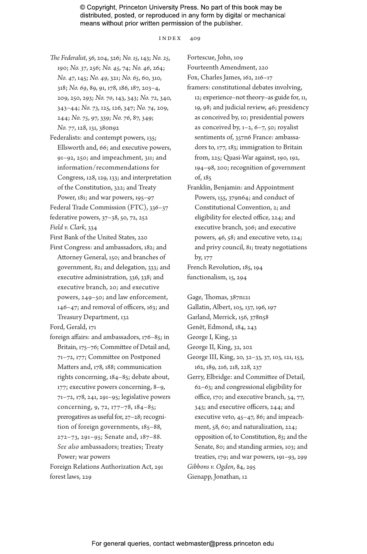index 409

- *The Federalist*, 56, 204, 326; *No. 15*, 143; *No. 25*, 190; *No. 37*, 256; *No. 45*, 74; *No. 46*, 264; *No. 47*, 145; *No. 49*, 321; *No. 65*, 60, 310, 318; *No. 69*, 89, 91, 178, 186, 187, 203–4, 209, 250, 293; *No. 70*, 143, 343; *No. 72*, 340, 343–44; *No. 73*, 125, 126, 347; *No. 74*, 209, 244; *No. 75*, 97, 339; *No. 76*, 87, 349; *No. 77*, 128, 131, 380n92
- Federalists: and contempt powers, 135; Ellsworth and, 66; and executive powers, 91–92, 250; and impeachment, 311; and information/recommendations for Congress, 128, 129, 133; and interpretation of the Constitution, 322; and Treaty Power, 181; and war powers, 195–97

Federal Trade Commission (FTC), 336–37 federative powers, 37–38, 50, 72, 252 *Field v. Clark*, 334

First Bank of the United States, 220

First Congress: and ambassadors, 182; and Attorney General, 150; and branches of government, 82; and delegation, 333; and executive administration, 336, 338; and executive branch, 20; and executive powers, 249–50; and law enforcement, 146–47; and removal of officers, 163; and Treasury Department, 132

Ford, Gerald, 171

- foreign affairs: and ambassadors, 176–85; in Britain, 175–76; Committee of Detail and, 71–72, 177; Committee on Postponed Matters and, 178, 188; communication rights concerning, 184–85; debate about, 177; executive powers concerning, 8–9, 71–72, 178, 241, 291–95; legislative powers concerning, 9, 72, 177–78, 184–85; prerogatives as useful for, 27–28; recognition of foreign governments, 185–88, 272–73, 291–95; Senate and, 187–88. *See also* ambassadors; treaties; Treaty Power; war powers
- Foreign Relations Authorization Act, 291 forest laws, 229

Fortescue, John, 109 Fourteenth Amendment, 220 Fox, Charles James, 162, 216–17 framers: constitutional debates involving, 12; experience–not theory–as guide for, 11, 19, 98; and judicial review, 46; presidency as conceived by, 10; presidential powers as conceived by,  $1-2$ ,  $6-7$ ,  $50$ ; royalist sentiments of, 357n6 France: ambassadors to, 177, 183; immigration to Britain from, 225; Quasi-War against, 190, 192, 194–98, 200; recognition of government of, 185

Franklin, Benjamin: and Appointment Powers, 155, 379n64; and conduct of Constitutional Convention, 2; and eligibility for elected office, 224; and executive branch, 306; and executive powers, 46, 58; and executive veto, 124; and privy council, 81; treaty negotiations by, 177 French Revolution, 185, 194

functionalism, 15, 294

Gage, Thomas, 387n121

- Gallatin, Albert, 105, 137, 196, 197
- Garland, Merrick, 156, 378n58
- Genêt, Edmond, 184, 243
- George I, King, 32
- George II, King, 32, 202
- George III, King, 20, 32–33, 37, 103, 121, 153, 162, 189, 216, 218, 228, 237
- Gerry, Elbridge: and Committee of Detail, 62–63; and congressional eligibility for office, 170; and executive branch, 34, 77, 343; and executive officers, 244; and executive veto, 45–47, 86; and impeachment, 58, 60; and naturalization, 224; opposition of, to Constitution, 83; and the Senate, 80; and standing armies, 103; and treaties, 179; and war powers, 191–93, 299 *Gibbons v. Ogden*, 84, 295 Gienapp, Jonathan, 12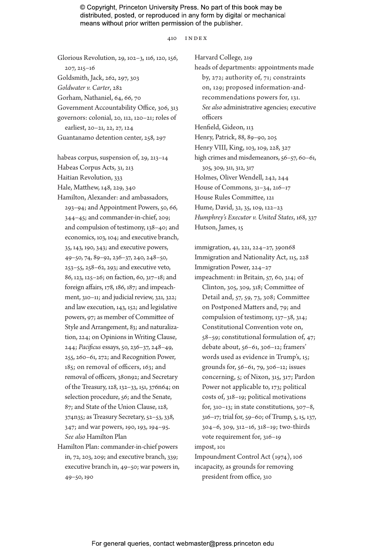#### 410 index

Glorious Revolution, 29, 102–3, 116, 120, 156, 207, 215–16 Goldsmith, Jack, 262, 297, 303 *Goldwater v. Carter*, 282 Gorham, Nathaniel, 64, 66, 70 Government Accountability Office, 306, 313 governors: colonial, 20, 112, 120–21; roles of earliest, 20–21, 22, 27, 124 Guantanamo detention center, 258, 297

habeas corpus, suspension of, 29, 213–14 Habeas Corpus Acts, 31, 213 Haitian Revolution, 333 Hale, Matthew, 148, 229, 340 Hamilton, Alexander: and ambassadors, 293–94; and Appointment Powers, 50, 66, 344–45; and commander-in-chief, 209; and compulsion of testimony, 138–40; and economics, 103, 104; and executive branch, 35, 143, 190, 343; and executive powers, 49–50, 74, 89–92, 236–37, 240, 248–50, 253–55, 258–62, 293; and executive veto, 86, 123, 125–26; on faction, 60, 317–18; and foreign affairs, 178, 186, 187; and impeachment, 310–11; and judicial review, 321, 322; and law execution, 143, 152; and legislative powers, 97; as member of Committee of Style and Arrangement, 83; and naturalization, 224; on Opinions in Writing Clause, 244; *Pacificus* essays, 50, 236–37, 248–49, 255, 260–61, 272; and Recognition Power, 185; on removal of officers, 163; and removal of officers, 380n92; and Secretary of the Treasury, 128, 132–33, 151, 376n64; on selection procedure, 56; and the Senate, 87; and State of the Union Clause, 128, 374n35; as Treasury Secretary, 52–53, 338, 347; and war powers, 190, 193, 194–95. *See also* Hamilton Plan

Hamilton Plan: commander-in-chief powers in, 72, 203, 209; and executive branch, 339; executive branch in, 49–50; war powers in, 49–50, 190

Harvard College, 219 heads of departments: appointments made by, 272; authority of, 71; constraints on, 129; proposed information-andrecommendations powers for, 131. *See also* administrative agencies; executive officers Henfield, Gideon, 113 Henry, Patrick, 88, 89–90, 205 Henry VIII, King, 103, 109, 228, 327 high crimes and misdemeanors, 56–57, 60–61, 305, 309, 311, 312, 317 Holmes, Oliver Wendell, 242, 244 House of Commons, 31–34, 216–17 House Rules Committee, 121 Hume, David, 32, 35, 109, 122–23 *Humphrey's Executor v. United States*, 168, 337 Hutson, James, 15

immigration, 41, 221, 224–27, 390n68 Immigration and Nationality Act, 115, 228 Immigration Power, 224–27 impeachment: in Britain, 57, 60, 314; of Clinton, 305, 309, 318; Committee of Detail and, 57, 59, 73, 308; Committee on Postponed Matters and, 79; and compulsion of testimony, 137–38, 314; Constitutional Convention vote on, 58–59; constitutional formulation of, 47; debate about, 56–61, 306–12; framers' words used as evidence in Trump's, 15; grounds for, 56–61, 79, 306–12; issues concerning, 5; of Nixon, 315, 317; Pardon Power not applicable to, 173; political costs of, 318–19; political motivations for, 310–13; in state constitutions, 307–8, 316–17; trial for, 59–60; of Trump, 5, 15, 137, 304–6, 309, 312–16, 318–19; two-thirds vote requirement for, 316–19 impost, 101

Impoundment Control Act (1974), 106 incapacity, as grounds for removing president from office, 310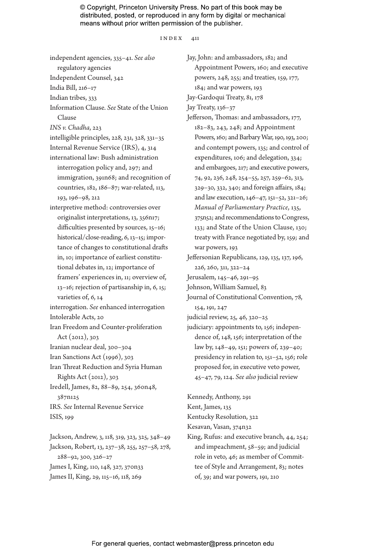#### index 411

independent agencies, 335–41. *See also* regulatory agencies Independent Counsel, 342 India Bill, 216–17 Indian tribes, 333 Information Clause. *See* State of the Union Clause *INS v. Chadha*, 223 intelligible principles, 228, 231, 328, 331–35 Internal Revenue Service (IRS), 4, 314 international law: Bush administration interrogation policy and, 297; and immigration, 391n68; and recognition of countries, 182, 186–87; war-related, 113, 193, 196–98, 212 interpretive method: controversies over originalist interpretations, 13, 356n17; difficulties presented by sources, 15–16; historical/close-reading, 6, 13-15; importance of changes to constitutional drafts in, 10; importance of earliest constitutional debates in, 12; importance of framers' experiences in, 11; overview of, 13–16; rejection of partisanship in, 6, 15; varieties of, 6, 14 interrogation. *See* enhanced interrogation Intolerable Acts, 20 Iran Freedom and Counter-proliferation Act (2012), 303 Iranian nuclear deal, 300–304 Iran Sanctions Act (1996), 303 Iran Threat Reduction and Syria Human Rights Act (2012), 303 Iredell, James, 82, 88–89, 254, 360n48, 387n125 IRS. *See* Internal Revenue Service ISIS, 199

Jackson, Andrew, 3, 118, 319, 323, 325, 348–49 Jackson, Robert, 13, 237–38, 255, 257–58, 278, 288–92, 300, 326–27 James I, King, 110, 148, 327, 370n33 James II, King, 29, 115–16, 118, 269

Jay, John: and ambassadors, 182; and Appointment Powers, 160; and executive powers, 248, 255; and treaties, 159, 177, 184; and war powers, 193 Jay-Gardoqui Treaty, 81, 178 Jay Treaty, 136–37 Jefferson, Thomas: and ambassadors, 177, 182–83, 243, 248; and Appointment Powers, 160; and Barbary War, 190, 193, 200; and contempt powers, 135; and control of expenditures, 106; and delegation, 334; and embargoes, 217; and executive powers, 74, 92, 236, 248, 254–55, 257, 259–62, 313, 329–30, 332, 340; and foreign affairs, 184; and law execution, 146–47, 151–52, 321–26; *Manual of Parliamentary Practice*, 135, 375n52; and recommendations to Congress, 133; and State of the Union Clause, 130; treaty with France negotiated by, 159; and war powers, 193 Jeffersonian Republicans, 129, 135, 137, 196, 226, 260, 311, 322–24 Jerusalem, 145–46, 291–95 Johnson, William Samuel, 83 Journal of Constitutional Convention, 78, 154, 191, 247 judicial review, 25, 46, 320–25 judiciary: appointments to, 156; indepen-

dence of, 148, 156; interpretation of the law by, 148–49, 151; powers of, 239–40; presidency in relation to, 151–52, 156; role proposed for, in executive veto power, 45–47, 79, 124. *See also* judicial review

Kennedy, Anthony, 291

Kent, James, 135

Kentucky Resolution, 322

Kesavan, Vasan, 374n32

King, Rufus: and executive branch, 44, 254; and impeachment, 58–59; and judicial role in veto, 46; as member of Committee of Style and Arrangement, 83; notes of, 39; and war powers, 191, 210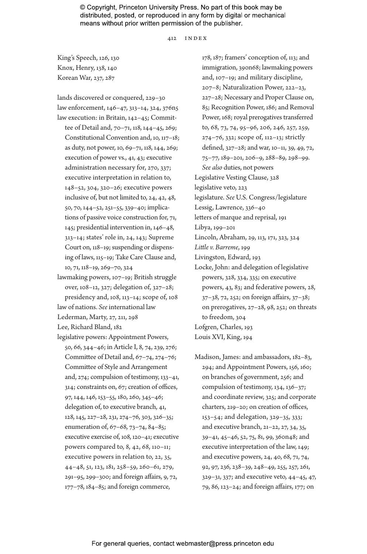#### 412 index

King's Speech, 126, 130 Knox, Henry, 138, 140 Korean War, 237, 287

lands discovered or conquered, 229–30 law enforcement, 146–47, 313–14, 324, 376n5 law execution: in Britain, 142–45; Committee of Detail and, 70–71, 118, 144–45, 269; Constitutional Convention and, 10, 117–18; as duty, not power, 10, 69–71, 118, 144, 269; execution of power vs., 41, 43; executive administration necessary for, 270, 337; executive interpretation in relation to, 148–52, 304, 320–26; executive powers inclusive of, but not limited to, 24, 42, 48, 50, 70, 144–52, 251–55, 339–40; implications of passive voice construction for, 71, 145; presidential intervention in, 146–48, 313–14; states' role in, 24, 143; Supreme Court on, 118–19; suspending or dispensing of laws, 115–19; Take Care Clause and, 10, 71, 118–19, 269–70, 324

- lawmaking powers, 107–19; British struggle over, 108–12, 327; delegation of, 327–28; presidency and, 108, 113–14; scope of, 108
- law of nations. *See* international law
- Lederman, Marty, 27, 211, 298
- Lee, Richard Bland, 182
- legislative powers: Appointment Powers, 50, 66, 344–46; in Article I, 8, 74, 239, 276; Committee of Detail and, 67–74, 274–76; Committee of Style and Arrangement and, 274; compulsion of testimony, 133–41, 314; constraints on, 67; creation of offices, 97, 144, 146, 153–55, 180, 260, 345–46; delegation of, to executive branch, 41, 128, 145, 227–28, 231, 274–76, 303, 326–35; enumeration of, 67–68, 73–74, 84–85; executive exercise of, 108, 120–41; executive powers compared to, 8, 42, 68, 110–11; executive powers in relation to, 22, 35, 44–48, 51, 123, 181, 258–59, 260–61, 279, 291–95, 299–300; and foreign affairs, 9, 72, 177–78, 184–85; and foreign commerce,

178, 187; framers' conception of, 113; and immigration, 390n68; lawmaking powers and, 107–19; and military discipline, 207–8; Naturalization Power, 222–23, 227–28; Necessary and Proper Clause on, 85; Recognition Power, 186; and Removal Power, 168; royal prerogatives transferred to, 68, 73, 74, 95–96, 206, 246, 257, 259, 274–76, 332; scope of, 112–13; strictly defined, 327–28; and war, 10–11, 39, 49, 72, 75–77, 189–201, 206–9, 288–89, 298–99. *See also* duties, not powers Legislative Vesting Clause, 328 legislative veto, 223 legislature. *See* U.S. Congress/legislature Lessig, Lawrence, 336–40 letters of marque and reprisal, 191 Libya, 199–201 Lincoln, Abraham, 29, 113, 171, 323, 324 *Little v. Barreme*, 199 Livingston, Edward, 193 Locke, John: and delegation of legislative powers, 328, 334, 335; on executive powers, 43, 83; and federative powers, 28, 37–38, 72, 252; on foreign affairs, 37–38; on prerogatives, 27–28, 98, 252; on threats to freedom, 304 Lofgren, Charles, 193 Louis XVI, King, 194

Madison, James: and ambassadors, 182–83, 294; and Appointment Powers, 156, 160; on branches of government, 256; and compulsion of testimony, 134, 136–37; and coordinate review, 325; and corporate charters, 219–20; on creation of offices, 153–54; and delegation, 329–35, 333; and executive branch, 21–22, 27, 34, 35, 39–41, 45–46, 52, 75, 81, 99, 360n48; and executive interpretation of the law, 149; and executive powers, 24, 40, 68, 71, 74, 92, 97, 236, 238–39, 248–49, 255, 257, 261, 329–31, 337; and executive veto, 44–45, 47, 79, 86, 123–24; and foreign affairs, 177; on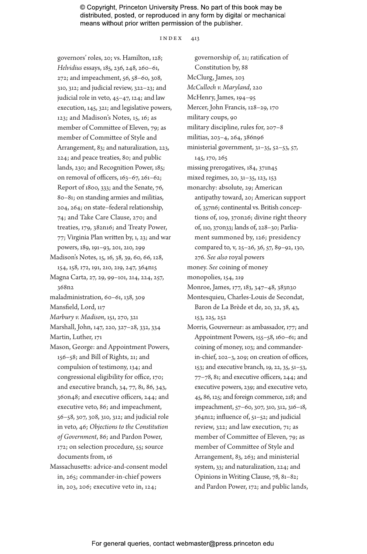index 413

governors' roles, 20; vs. Hamilton, 128; *Helvidius* essays, 185, 236, 248, 260–61, 272; and impeachment, 56, 58–60, 308, 310, 312; and judicial review, 322–23; and judicial role in veto, 45–47, 124; and law execution, 145, 321; and legislative powers, 123; and Madison's Notes, 15, 16; as member of Committee of Eleven, 79; as member of Committee of Style and Arrangement, 83; and naturalization, 223, 224; and peace treaties, 80; and public lands, 230; and Recognition Power, 185; on removal of officers, 163–67, 261–62; Report of 1800, 333; and the Senate, 76, 80–81; on standing armies and militias, 204, 264; on state–federal relationship, 74; and Take Care Clause, 270; and treaties, 179, 382n16; and Treaty Power, 77; Virginia Plan written by, 1, 23; and war powers, 189, 191–93, 201, 210, 299

Madison's Notes, 15, 16, 38, 39, 60, 66, 128, 154, 158, 172, 191, 210, 219, 247, 364n15

- Magna Carta, 27, 29, 99–101, 214, 224, 257, 368n2
- maladministration, 60–61, 138, 309
- Mansfield, Lord, 117
- *Marbury v. Madison*, 151, 270, 321
- Marshall, John, 147, 220, 327–28, 332, 334

Martin, Luther, 171

- Mason, George: and Appointment Powers, 156–58; and Bill of Rights, 21; and compulsion of testimony, 134; and congressional eligibility for office, 170; and executive branch, 34, 77, 81, 86, 343, 360n48; and executive officers, 244; and executive veto, 86; and impeachment, 56–58, 307, 308, 310, 312; and judicial role in veto, 46; *Objections to the Constitution of Government*, 86; and Pardon Power, 172; on selection procedure, 55; source documents from, 16
- Massachusetts: advice-and-consent model in, 265; commander-in-chief powers in, 203, 206; executive veto in, 124;

governorship of, 21; ratification of Constitution by, 88 McClurg, James, 203 *McCulloch v. Maryland*, 220 McHenry, James, 194–95 Mercer, John Francis, 128–29, 170 military coups, 90 military discipline, rules for, 207–8 militias, 203–4, 264, 386n96 ministerial government, 31–35, 52–53, 57, 145, 170, 265 missing prerogatives, 184, 371n45 mixed regimes, 20, 31–35, 123, 153 monarchy: absolute, 29; American antipathy toward, 20; American support of, 357n6; continental vs. British conceptions of, 109, 370n26; divine right theory of, 110, 370n33; lands of, 228–30; Parliament summoned by, 126; presidency compared to, v, 25–26, 36, 57, 89–92, 130, 276. *See also* royal powers money. *See* coining of money monopolies, 154, 219 Monroe, James, 177, 183, 347–48, 383n30 Montesquieu, Charles-Louis de Secondat, Baron de La Brède et de, 20, 32, 38, 43, 153, 225, 252 Morris, Gouverneur: as ambassador, 177; and Appointment Powers, 155–58, 160–61; and coining of money, 103; and commanderin-chief, 202–3, 209; on creation of offices,

153; and executive branch, 19, 22, 35, 51–53, 77–78, 81; and executive officers, 244; and executive powers, 239; and executive veto, 45, 86, 125; and foreign commerce, 218; and impeachment, 57–60, 307, 310, 312, 316–18, 364n12; influence of, 51–52; and judicial review, 322; and law execution, 71; as member of Committee of Eleven, 79; as member of Committee of Style and Arrangement, 83, 263; and ministerial system, 33; and naturalization, 224; and Opinions in Writing Clause, 78, 81–82; and Pardon Power, 172; and public lands,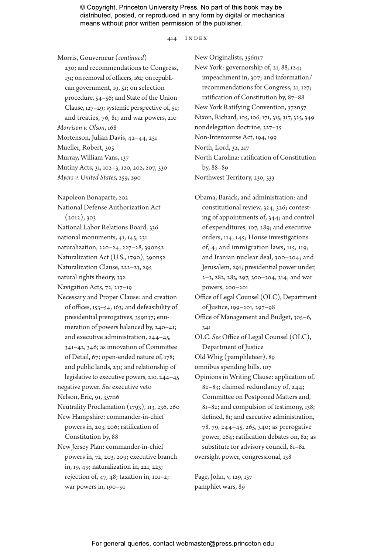414 index

Morris, Gouverneur (*continued*) 230; and recommendations to Congress, 131; on removal of officers, 162; on republican government, 19, 51; on selection procedure, 54–56; and State of the Union Clause, 127–29; systemic perspective of, 51; and treaties, 76, 81; and war powers, 210 *Morrison v. Olson*, 168 Mortenson, Julian Davis, 42–44, 251 Mueller, Robert, 305 Murray, William Vans, 137 Mutiny Acts, 31, 102–3, 120, 202, 207, 330 *Myers v. United States*, 259, 290 Napoleon Bonaparte, 202 National Defense Authorization Act  $(2012), 303$ National Labor Relations Board, 336 national monuments, 41, 145, 231 naturalization, 220–24, 227–28, 390n52 Naturalization Act (U.S., 1790), 390n52 Naturalization Clause, 222–23, 295 natural rights theory, 332 Navigation Acts, 72, 217–19 Necessary and Proper Clause: and creation of offices, 153–54, 163; and defeasibility of presidential prerogatives, 359n37; enumeration of powers balanced by, 240–41; and executive administration, 244–45, 341–42, 346; as innovation of Committee of Detail, 67; open-ended nature of, 178; and public lands, 231; and relationship of legislative to executive powers, 210, 244–45 negative power. *See* executive veto Nelson, Eric, 91, 357n6 Neutrality Proclamation (1793), 113, 236, 260 New Hampshire: commander-in-chief powers in, 203, 206; ratification of Constitution by, 88 New Jersey Plan: commander-in-chief powers in, 72, 203, 209; executive branch in, 19, 49; naturalization in, 221, 223; rejection of, 47, 48; taxation in, 101–2; war powers in, 190–91

New Originalists, 356n17 New York: governorship of, 21, 88, 124; impeachment in, 307; and information/ recommendations for Congress, 21, 127; ratification of Constitution by, 87–88 New York Ratifying Convention, 372n57 Nixon, Richard, 105, 106, 171, 315, 317, 325, 349 nondelegation doctrine, 327–35 Non-Intercourse Act, 194, 199 North, Lord, 32, 217 North Carolina: ratification of Constitution by, 88–89 Northwest Territory, 230, 333

Obama, Barack, and administration: and constitutional review, 324, 326; contesting of appointments of, 344; and control of expenditures, 107, 289; and executive orders, 114, 145; House investigations of, 4; and immigration laws, 115, 119; and Iranian nuclear deal, 300–304; and Jerusalem, 291; presidential power under, 2–3, 282, 283, 297, 300–304, 314; and war powers, 200–201

Office of Legal Counsel (OLC), Department of Justice, 199–201, 297–98

Office of Management and Budget, 305–6, 341

OLC. *See* Office of Legal Counsel (OLC), Department of Justice

Old Whig (pamphleteer), 89

omnibus spending bills, 107

Opinions in Writing Clause: application of, 82–83; claimed redundancy of, 244; Committee on Postponed Matters and, 81–82; and compulsion of testimony, 138; defined, 81; and executive administration, 78, 79, 244–45, 265, 340; as prerogative power, 264; ratification debates on, 82; as substitute for advisory council, 81–82 oversight power, congressional, 138

Page, John, v, 129, 137 pamphlet wars, 89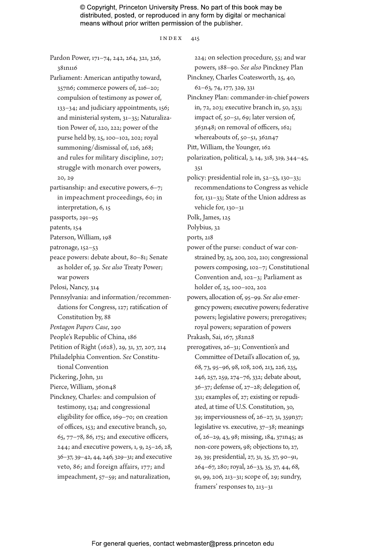index 415

Pardon Power, 171–74, 242, 264, 321, 326, 381n116

Parliament: American antipathy toward, 357n6; commerce powers of, 216–20; compulsion of testimony as power of, 133–34; and judiciary appointments, 156; and ministerial system, 31–35; Naturalization Power of, 220, 222; power of the purse held by, 25, 100–102, 202; royal summoning/dismissal of, 126, 268; and rules for military discipline, 207; struggle with monarch over powers, 20, 29

partisanship: and executive powers, 6–7; in impeachment proceedings, 60; in interpretation, 6, 15

passports, 291–95

patents, 154

Paterson, William, 198

patronage, 152–53

peace powers: debate about, 80–81; Senate as holder of, 39. *See also* Treaty Power; war powers

Pelosi, Nancy, 314

Pennsylvania: and information/recommendations for Congress, 127; ratification of Constitution by, 88

*Pentagon Papers Case*, 290

- People's Republic of China, 186
- Petition of Right (1628), 29, 31, 37, 207, 214
- Philadelphia Convention. *See* Constitutional Convention

Pickering, John, 311

Pierce, William, 360n48

Pinckney, Charles: and compulsion of testimony, 134; and congressional eligibility for office, 169–70; on creation of offices, 153; and executive branch, 50, 65, 77–78, 86, 175; and executive officers, 244; and executive powers, 1, 9, 25–26, 28, 36–37, 39–42, 44, 246, 329–31; and executive veto, 86; and foreign affairs, 177; and impeachment, 57–59; and naturalization,

224; on selection procedure, 55; and war powers, 188–90. *See also* Pinckney Plan Pinckney, Charles Coatesworth, 25, 40, 62–63, 74, 177, 329, 331 Pinckney Plan: commander-in-chief powers in, 72, 203; executive branch in, 50, 253; impact of, 50–51, 69; later version of, 363n48; on removal of officers, 162; whereabouts of, 50–51, 362n47 Pitt, William, the Younger, 162 polarization, political, 3, 14, 318, 319, 344–45, 351 policy: presidential role in, 52–53, 130–33; recommendations to Congress as vehicle for, 131–33; State of the Union address as vehicle for, 130–31 Polk, James, 125 Polybius, 32 ports, 218 power of the purse: conduct of war constrained by, 25, 200, 202, 210; congressional powers composing, 102–7; Constitutional Convention and, 102–3; Parliament as holder of, 25, 100–102, 202 powers, allocation of, 95–99. *See also* emergency powers; executive powers; federative powers; legislative powers; prerogatives; royal powers; separation of powers Prakash, Sai, 167, 382n28 prerogatives, 26–31; Convention's and Committee of Detail's allocation of, 39, 68, 73, 95–96, 98, 108, 206, 213, 226, 235, 246, 257, 259, 274–76, 332; debate about, 36–37; defense of, 27–28; delegation of, 331; examples of, 27; existing or repudiated, at time of U.S. Constitution, 30, 39; imperviousness of, 26–27, 31, 359n37; legislative vs. executive, 37–38; meanings of, 26–29, 43, 98; missing, 184, 371n45; as non-core powers, 98; objections to, 27, 29, 39; presidential, 27, 31, 35, 37, 90–91, 264–67, 280; royal, 26–33, 35, 37, 44, 68, 91, 99, 206, 213–31; scope of, 29; sundry, framers' responses to, 213–31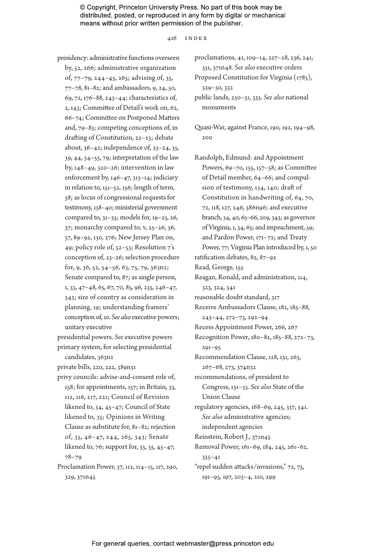416 index

presidency: administrative functions overseen by, 52, 266; administrative organization of, 77–79, 244–45, 265; advising of, 35, 77–78, 81–82; and ambassadors, 9, 24, 50, 69, 72, 176–88, 243–44; characteristics of, 2, 143; Committee of Detail's work on, 62, 66–74; Committee on Postponed Matters and, 79–83; competing conceptions of, in drafting of Constitution, 22–23; debate about, 36–42; independence of, 23–24, 35, 39, 44, 54–55, 79; interpretation of the law by, 148–49, 320–26; intervention in law enforcement by, 146–47, 313–14; judiciary in relation to, 151–52, 156; length of term, 58; as locus of congressional requests for testimony, 138–40; ministerial government compared to, 31–35; models for, 19–23, 26, 37; monarchy compared to, v, 25–26, 36, 57, 89–92, 130, 276; New Jersey Plan on, 49; policy role of, 52–53; Resolution 7's conception of, 23–26; selection procedure for, 9, 36, 52, 54–56, 63, 75, 79, 363n2; Senate compared to, 87; as single person, 1, 33, 47–48, 65, 67, 70, 85, 96, 235, 246–47, 343; size of country as consideration in planning, 19; understanding framers' conception of, 10. *See also* executive powers; unitary executive presidential powers. *See* executive powers primary system, for selecting presidential

candidates, 363n2

private bills, 220, 222, 389n31

- privy councils: advise-and-consent role of, 158; for appointments, 157; in Britain, 33, 112, 116, 217, 221; Council of Revision likened to, 34, 45–47; Council of State likened to, 35; Opinions in Writing Clause as substitute for, 81–82; rejection of, 35, 46–47, 244, 265, 343; Senate likened to, 76; support for, 33, 35, 45–47, 78–79
- Proclamation Power, 37, 112, 114–15, 117, 290, 329, 371n45

proclamations, 41, 109–14, 227–28, 236, 241, 331, 371n48. *See also* executive orders

Proposed Constitution for Virginia (1783), 329–30, 332

public lands, 230–31, 333. *See also* national monuments

Quasi-War, against France, 190, 192, 194–98, 200

Randolph, Edmund: and Appointment Powers, 69–70, 155, 157–58; as Committee of Detail member, 64–66; and compulsion of testimony, 134, 140; draft of Constitution in handwriting of, 64, 70, 72, 118, 127, 246, 386n96; and executive branch, 34, 40, 65–66, 209, 343; as governor of Virginia, 1, 34, 65; and impeachment, 59; and Pardon Power, 171–72; and Treaty Power, 77; Virginia Plan introduced by, 1, 50 ratification debates, 82, 87–92 Read, George, 155 Reagan, Ronald, and administration, 114, 323, 324, 341 reasonable doubt standard, 317 Receive Ambassadors Clause, 182, 185–88, 243–44, 272–73, 292–94 Recess Appointment Power, 266, 267 Recognition Power, 180–82, 185–88, 272–73, 291–95 Recommendation Clause, 128, 131, 263, 267–68, 273, 374n32 recommendations, of president to Congress, 131–33. *See also* State of the Union Clause regulatory agencies, 168–69, 245, 337, 341. *See also* administrative agencies; independent agencies Reinstein, Robert J., 371n45 Removal Power, 161–69, 184, 245, 261–62, 335–41 "repel sudden attacks/invasions," 72, 75, 191–95, 197, 203–4, 210, 299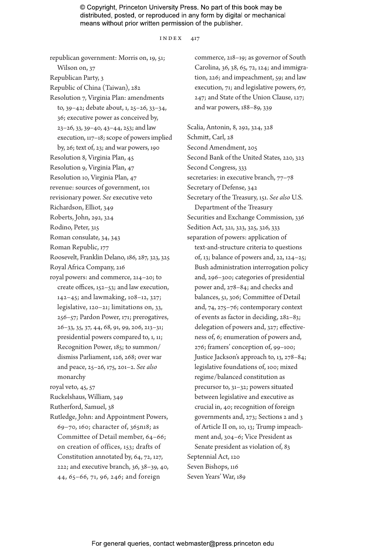#### index 417

republican government: Morris on, 19, 51; Wilson on, 37 Republican Party, 3 Republic of China (Taiwan), 282 Resolution 7, Virginia Plan: amendments to, 39–42; debate about, 1, 25–26, 33–34, 36; executive power as conceived by, 23–26, 33, 39–40, 43–44, 253; and law execution, 117–18; scope of powers implied by, 26; text of, 23; and war powers, 190 Resolution 8, Virginia Plan, 45 Resolution 9, Virginia Plan, 47 Resolution 10, Virginia Plan, 47 revenue: sources of government, 101 revisionary power. *See* executive veto Richardson, Elliot, 349 Roberts, John, 292, 324 Rodino, Peter, 315 Roman consulate, 34, 343 Roman Republic, 177 Roosevelt, Franklin Delano, 186, 287, 323, 325 Royal Africa Company, 216 royal powers: and commerce, 214–20; to create offices, 152–53; and law execution, 142–45; and lawmaking, 108–12, 327; legislative, 120–21; limitations on, 33, 256–57; Pardon Power, 171; prerogatives, 26–33, 35, 37, 44, 68, 91, 99, 206, 213–31; presidential powers compared to, 1, 11; Recognition Power, 185; to summon/ dismiss Parliament, 126, 268; over war and peace, 25–26, 175, 201–2. *See also* monarchy royal veto, 45, 57 Ruckelshaus, William, 349 Rutherford, Samuel, 38 Rutledge, John: and Appointment Powers, 69–70, 160; character of, 365n18; as Committee of Detail member, 64–66; on creation of offices, 153; drafts of Constitution annotated by, 64, 72, 127, 222; and executive branch, 36, 38–39, 40, 44, 65–66, 71, 96, 246; and foreign

commerce, 218–19; as governor of South Carolina, 36, 38, 65, 72, 124; and immigration, 226; and impeachment, 59; and law execution, 71; and legislative powers, 67, 247; and State of the Union Clause, 127; and war powers, 188–89, 339

Scalia, Antonin, 8, 292, 324, 328 Schmitt, Carl, 28 Second Amendment, 205 Second Bank of the United States, 220, 323 Second Congress, 333 secretaries: in executive branch,  $77-78$ Secretary of Defense, 342 Secretary of the Treasury, 151. *See also* U.S. Department of the Treasury Securities and Exchange Commission, 336 Sedition Act, 321, 323, 325, 326, 333 separation of powers: application of text-and-structure criteria to questions of, 13; balance of powers and, 22, 124–25; Bush administration interrogation policy and, 296–300; categories of presidential power and, 278–84; and checks and balances, 51, 306; Committee of Detail and, 74, 275–76; contemporary context of events as factor in deciding, 282–83; delegation of powers and, 327; effectiveness of, 6; enumeration of powers and, 276; framers' conception of, 99–100; Justice Jackson's approach to, 13, 278–84; legislative foundations of, 100; mixed regime/balanced constitution as precursor to, 31–32; powers situated between legislative and executive as crucial in, 40; recognition of foreign governments and, 273; Sections 2 and 3 of Article II on, 10, 13; Trump impeachment and, 304–6; Vice President as Senate president as violation of, 83 Septennial Act, 120 Seven Bishops, 116 Seven Years' War, 189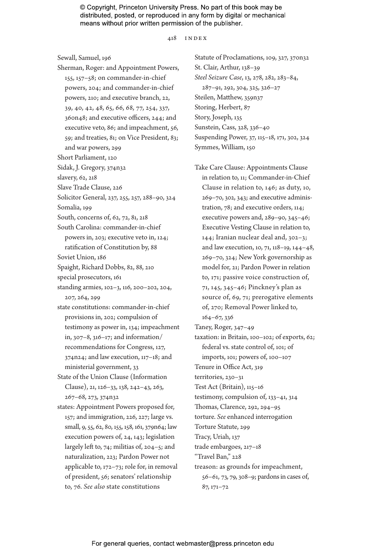418 index

Sewall, Samuel, 196

- Sherman, Roger: and Appointment Powers, 155, 157–58; on commander-in-chief powers, 204; and commander-in-chief powers, 210; and executive branch, 22, 39, 40, 42, 48, 65, 66, 68, 77, 254, 337, 360n48; and executive officers, 244; and executive veto, 86; and impeachment, 56, 59; and treaties, 81; on Vice President, 83; and war powers, 299
- Short Parliament, 120

Sidak, J. Gregory, 374n32

slavery, 62, 218

Slave Trade Clause, 226

Solicitor General, 237, 255, 257, 288–90, 324

Somalia, 199

South, concerns of, 62, 72, 81, 218

- South Carolina: commander-in-chief powers in, 203; executive veto in, 124; ratification of Constitution by, 88
- Soviet Union, 186
- Spaight, Richard Dobbs, 82, 88, 210
- special prosecutors, 161
- standing armies, 102–3, 116, 200–202, 204, 207, 264, 299
- state constitutions: commander-in-chief provisions in, 202; compulsion of testimony as power in, 134; impeachment in, 307–8, 316–17; and information/ recommendations for Congress, 127, 374n24; and law execution, 117–18; and ministerial government, 33

State of the Union Clause (Information Clause), 21, 126–33, 138, 242–43, 263, 267–68, 273, 374n32

states: Appointment Powers proposed for, 157; and immigration, 226, 227; large vs. small, 9, 55, 62, 80, 155, 158, 161, 379n64; law execution powers of, 24, 143; legislation largely left to, 74; militias of, 204–5; and naturalization, 223; Pardon Power not applicable to, 172–73; role for, in removal of president, 56; senators' relationship to, 76. *See also* state constitutions

Statute of Proclamations, 109, 327, 370n32 St. Clair, Arthur, 138–39 *Steel Seizure Case*, 13, 278, 282, 283–84, 287–91, 292, 304, 325, 326–27 Steilen, Matthew, 359n37 Storing, Herbert, 87 Story, Joseph, 135 Sunstein, Cass, 328, 336–40 Suspending Power, 37, 115–18, 171, 302, 324 Symmes, William, 150

Take Care Clause: Appointments Clause in relation to, 11; Commander-in-Chief Clause in relation to, 146; as duty, 10, 269–70, 302, 343; and executive administration, 78; and executive orders, 114; executive powers and, 289–90, 345–46; Executive Vesting Clause in relation to, 144; Iranian nuclear deal and, 302–3; and law execution, 10, 71, 118–19, 144–48, 269–70, 324; New York governorship as model for, 21; Pardon Power in relation to, 171; passive voice construction of, 71, 145, 345–46; Pinckney's plan as source of, 69, 71; prerogative elements of, 270; Removal Power linked to, 164–67, 336

Taney, Roger, 347–49

taxation: in Britain, 100–102; of exports, 62; federal vs. state control of, 101; of

imports, 101; powers of, 100–107

Tenure in Office Act, 319

territories, 230–31

Test Act (Britain), 115–16

testimony, compulsion of, 133–41, 314

Thomas, Clarence, 292, 294–95

torture. *See* enhanced interrogation

Torture Statute, 299

Tracy, Uriah, 137

trade embargoes, 217–18

"Travel Ban," 228

treason: as grounds for impeachment, 56–61, 73, 79, 308–9; pardons in cases of, 87, 171–72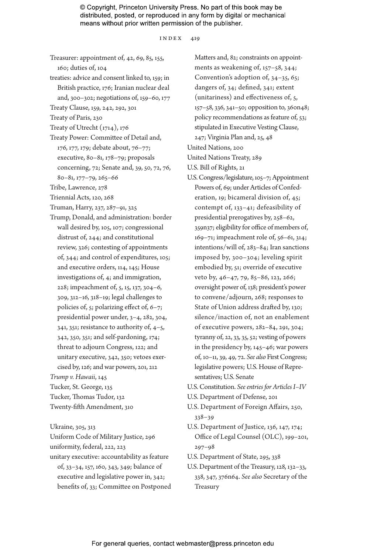index 419

- Treasurer: appointment of, 42, 69, 85, 155, 160; duties of, 104 treaties: advice and consent linked to, 159; in
- British practice, 176; Iranian nuclear deal and, 300–302; negotiations of, 159–60, 177
- Treaty Clause, 159, 242, 292, 301
- Treaty of Paris, 230
- Treaty of Utrecht (1714), 176
- Treaty Power: Committee of Detail and, 176, 177, 179; debate about, 76–77; executive, 80–81, 178–79; proposals concerning, 72; Senate and, 39, 50, 72, 76, 80–81, 177–79, 265–66
- Tribe, Lawrence, 278
- Triennial Acts, 120, 268
- Truman, Harry, 237, 287–91, 325
- Trump, Donald, and administration: border wall desired by, 105, 107; congressional distrust of, 244; and constitutional review, 326; contesting of appointments of, 344; and control of expenditures, 105; and executive orders, 114, 145; House investigations of, 4; and immigration, 228; impeachment of, 5, 15, 137, 304–6, 309, 312–16, 318–19; legal challenges to policies of, 5; polarizing effect of, 6–7; presidential power under, 3–4, 282, 304, 341, 351; resistance to authority of, 4–5, 342, 350, 351; and self-pardoning, 174; threat to adjourn Congress, 122; and unitary executive, 342, 350; vetoes exercised by, 126; and war powers, 201, 212 *Trump v. Hawaii*, 145

Tucker, St. George, 135 Tucker, Thomas Tudor, 132 Twenty-fifth Amendment, 310

Ukraine, 305, 313 Uniform Code of Military Justice, 296 uniformity, federal, 222, 223 unitary executive: accountability as feature of, 33–34, 157, 160, 343, 349; balance of executive and legislative power in, 342; benefits of, 33; Committee on Postponed

Matters and, 82; constraints on appointments as weakening of, 157–58, 344; Convention's adoption of, 34–35, 65; dangers of, 34; defined, 341; extent (unitariness) and effectiveness of, 5, 157–58, 336, 341–50; opposition to, 360n48; policy recommendations as feature of, 53; stipulated in Executive Vesting Clause, 247; Virginia Plan and, 25, 48 United Nations, 200

United Nations Treaty, 289

U.S. Bill of Rights, 21

- U.S. Congress/legislature, 105–7; Appointment Powers of, 69; under Articles of Confederation, 19; bicameral division of, 45; contempt of, 133–41; defeasibility of presidential prerogatives by, 258–62, 359n37; eligibility for office of members of, 169–71; impeachment role of, 56–61, 314; intentions/will of, 283–84; Iran sanctions imposed by, 300–304; leveling spirit embodied by, 51; override of executive veto by, 46–47, 79, 85–86, 123, 266; oversight power of, 138; president's power to convene/adjourn, 268; responses to State of Union address drafted by, 130; silence/inaction of, not an enablement of executive powers, 282–84, 291, 304; tyranny of, 22, 33, 35, 52; vesting of powers in the presidency by, 145–46; war powers of, 10–11, 39, 49, 72. *See also* First Congress; legislative powers; U.S. House of Representatives; U.S. Senate
- U.S. Constitution. *See entries for Articles I–IV*
- U.S. Department of Defense, 201
- U.S. Department of Foreign Affairs, 250, 338–39
- U.S. Department of Justice, 136, 147, 174; Office of Legal Counsel (OLC), 199–201, 297–98
- U.S. Department of State, 295, 338
- U.S. Department of the Treasury, 128, 132–33, 338, 347, 376n64. *See also* Secretary of the Treasury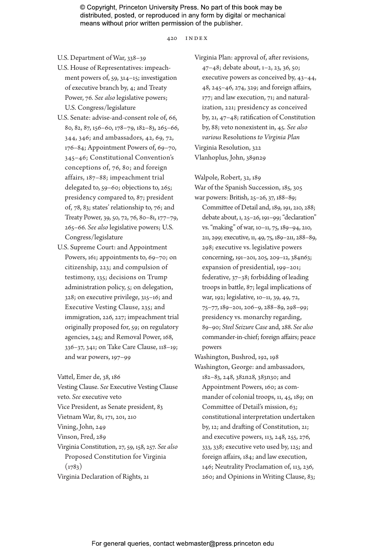420 index

U.S. Department of War, 338–39

- U.S. House of Representatives: impeachment powers of, 59, 314–15; investigation of executive branch by, 4; and Treaty Power, 76. *See also* legislative powers; U.S. Congress/legislature
- U.S. Senate: advise-and-consent role of, 66, 80, 82, 87, 156–60, 178–79, 182–83, 265–66, 344, 346; and ambassadors, 42, 69, 72, 176–84; Appointment Powers of, 69–70, 345–46; Constitutional Convention's conceptions of, 76, 80; and foreign affairs, 187–88; impeachment trial delegated to, 59–60; objections to, 265; presidency compared to, 87; president of, 78, 83; states' relationship to, 76; and Treaty Power, 39, 50, 72, 76, 80–81, 177–79, 265–66. *See also* legislative powers; U.S. Congress/legislature
- U.S. Supreme Court: and Appointment Powers, 161; appointments to, 69-70; on citizenship, 223; and compulsion of testimony, 135; decisions on Trump administration policy, 5; on delegation, 328; on executive privilege, 315–16; and Executive Vesting Clause, 235; and immigration, 226, 227; impeachment trial originally proposed for, 59; on regulatory agencies, 245; and Removal Power, 168, 336–37, 341; on Take Care Clause, 118–19; and war powers, 197–99

Vattel, Emer de, 38, 186 Vesting Clause. *See* Executive Vesting Clause veto. *See* executive veto Vice President, as Senate president, 83 Vietnam War, 81, 171, 201, 210 Vining, John, 249 Vinson, Fred, 289 Virginia Constitution, 27, 59, 158, 257. *See also* Proposed Constitution for Virginia  $(1783)$ 

Virginia Declaration of Rights, 21

Virginia Plan: approval of, after revisions, 47–48; debate about, 1–2, 23, 36, 50; executive powers as conceived by, 43–44, 48, 245–46, 274, 329; and foreign affairs, 177; and law execution, 71; and naturalization, 221; presidency as conceived by, 21, 47–48; ratification of Constitution by, 88; veto nonexistent in, 45. *See also various* Resolutions *to Virginia Plan* Virginia Resolution, 322 Vlanhoplus, John, 389n29

Walpole, Robert, 32, 189 War of the Spanish Succession, 185, 305 war powers: British, 25–26, 37, 188–89; Committee of Detail and, 189, 191, 210, 288; debate about, 1, 25–26, 191–99; "declaration" vs. "making" of war, 10–11, 75, 189–94, 210, 211, 299; executive, 11, 49, 75, 189–211, 288–89, 298; executive vs. legislative powers concerning, 191–201, 205, 209–12, 384n63; expansion of presidential, 199–201; federative, 37–38; forbidding of leading troops in battle, 87; legal implications of war, 192; legislative, 10–11, 39, 49, 72, 75–77, 189–201, 206–9, 288–89, 298–99; presidency vs. monarchy regarding, 89–90; *Steel Seizure Case* and, 288. *See also* commander-in-chief; foreign affairs; peace powers

Washington, Bushrod, 192, 198 Washington, George: and ambassadors, 182–83, 248, 382n28, 383n30; and Appointment Powers, 160; as commander of colonial troops, 11, 45, 189; on Committee of Detail's mission, 63; constitutional interpretation undertaken by, 12; and drafting of Constitution, 21; and executive powers, 113, 248, 255, 276, 333, 338; executive veto used by, 125; and foreign affairs, 184; and law execution, 146; Neutrality Proclamation of, 113, 236, 260; and Opinions in Writing Clause, 83;